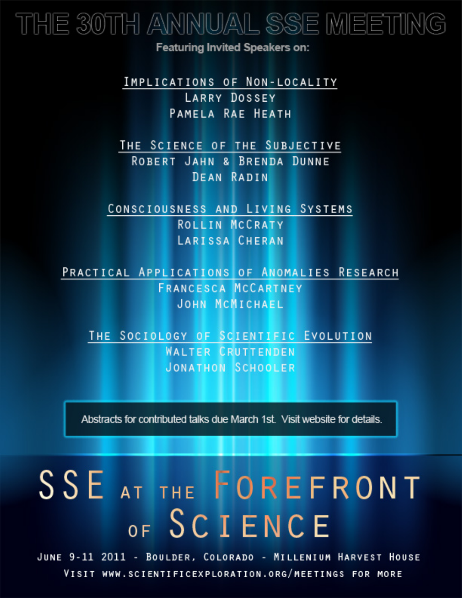## THE 30TH ANNUAL SSE MEETING

**Featuring Invited Speakers on:** 

IMPLICATIONS OF NON-LOCALITY **LARRY DOSSEY** PAMELA RAE HEATH

THE SCIENCE OF THE SUBJECTIVE ROBERT JAHN & BRENDA DUNNE **DEAN RADIN** 

CONSCIOUSNESS AND LIVING SYSTEMS ROLLIN MCCRATY **LARISSA CHERAN** 

PRACTICAL APPLICATIONS OF ANOMALIES RESEARCH **FRANCESCA MCCARTNEY JOHN MCMICHAEL** 

THE SOCIOLOGY OF SCIENTIFIC EVOLUTION **WALTER CRUTTENDEN JONATHON SCHOOLER** 

Abstracts for contributed talks due March 1st. Visit website for details.

# SSE AT THE FOREFRONT OF SCIENCE

JUNE 9-11 2011 - BOULDER, COLORADO - MILLENIUM HARVEST HOUSE VISIT WWW.SCIENTIFICEXPLORATION.ORG/MEETINGS FOR MORE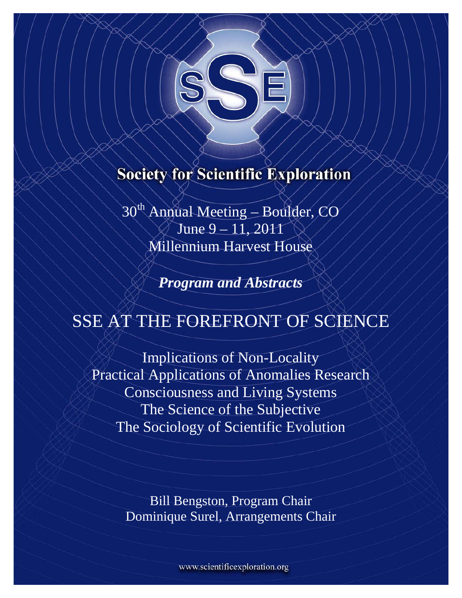

### **Society for Scientific Exploration**

30<sup>th</sup> Annual Meeting – Boulder, CO June 9 – 11, 2011 Millennium Harvest House

*Program and Abstracts* 

## SSE AT THE FOREFRONT OF SCIENCE

Implications of Non-Locality Practical Applications of Anomalies Research Consciousness and Living Systems The Science of the Subjective The Sociology of Scientific Evolution

> Bill Bengston, Program Chair Dominique Surel, Arrangements Chair

> > www.scientificexploration.org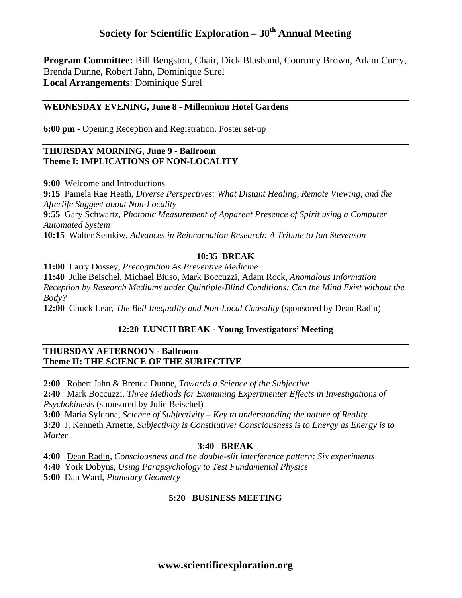#### **Society for Scientific Exploration – 30<sup>th</sup> Annual Meeting**

**Program Committee:** Bill Bengston, Chair, Dick Blasband, Courtney Brown, Adam Curry, Brenda Dunne, Robert Jahn, Dominique Surel **Local Arrangements**: Dominique Surel

#### **WEDNESDAY EVENING, June 8 - Millennium Hotel Gardens**

**6:00 pm -** Opening Reception and Registration. Poster set-up

#### **THURSDAY MORNING, June 9 - Ballroom Theme I: IMPLICATIONS OF NON-LOCALITY**

**9:00** Welcome and Introductions

**9:15** Pamela Rae Heath, *Diverse Perspectives: What Distant Healing, Remote Viewing, and the Afterlife Suggest about Non-Locality*  **9:55** Gary Schwartz, *Photonic Measurement of Apparent Presence of Spirit using a Computer Automated System*  **10:15** Walter Semkiw, *Advances in Reincarnation Research: A Tribute to Ian Stevenson* 

#### **10:35 BREAK**

**11:00** Larry Dossey, *Precognition As Preventive Medicine* 

**11:40** Julie Beischel, Michael Biuso, Mark Boccuzzi, Adam Rock, *Anomalous Information Reception by Research Mediums under Quintiple-Blind Conditions: Can the Mind Exist without the Body?* 

**12:00** Chuck Lear, *The Bell Inequality and Non-Local Causality* (sponsored by Dean Radin)

#### **12:20 LUNCH BREAK - Young Investigators' Meeting**

#### **THURSDAY AFTERNOON - Ballroom Theme II: THE SCIENCE OF THE SUBJECTIVE**

**2:00** Robert Jahn & Brenda Dunne, *Towards a Science of the Subjective* 

**2:40** Mark Boccuzzi, *Three Methods for Examining Experimenter Effects in Investigations of Psychokinesis* (sponsored by Julie Beischel)

**3:00** Maria Syldona, *Science of Subjectivity – Key to understanding the nature of Reality*  **3:20** J. Kenneth Arnette, *Subjectivity is Constitutive: Consciousness is to Energy as Energy is to Matter* 

#### **3:40 BREAK**

**4:00** Dean Radin, *Consciousness and the double-slit interference pattern: Six experiments* 

**4:40** York Dobyns, *Using Parapsychology to Test Fundamental Physics* 

**5:00** Dan Ward, *Planetary Geometry* 

#### **5:20 BUSINESS MEETING**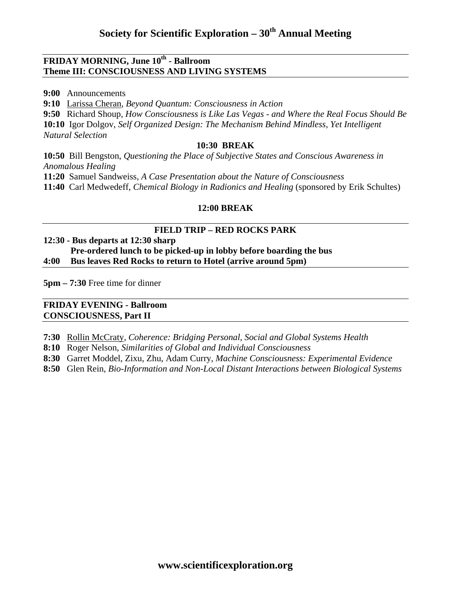#### **FRIDAY MORNING, June 10th - Ballroom Theme III: CONSCIOUSNESS AND LIVING SYSTEMS**

**9:00** Announcements

**9:10** Larissa Cheran, *Beyond Quantum: Consciousness in Action* 

**9:50** Richard Shoup, *How Consciousness is Like Las Vegas - and Where the Real Focus Should Be*  **10:10** Igor Dolgov, *Self Organized Design: The Mechanism Behind Mindless, Yet Intelligent Natural Selection* 

#### **10:30 BREAK**

**10:50** Bill Bengston, *Questioning the Place of Subjective States and Conscious Awareness in Anomalous Healing* 

**11:20** Samuel Sandweiss, *A Case Presentation about the Nature of Consciousness* 

**11:40** Carl Medwedeff, *Chemical Biology in Radionics and Healing* (sponsored by Erik Schultes)

#### **12:00 BREAK**

#### **FIELD TRIP – RED ROCKS PARK**

#### **12:30 - Bus departs at 12:30 sharp Pre-ordered lunch to be picked-up in lobby before boarding the bus 4:00 Bus leaves Red Rocks to return to Hotel (arrive around 5pm)**

**5pm – 7:30** Free time for dinner

#### **FRIDAY EVENING - Ballroom CONSCIOUSNESS, Part II**

- **7:30** Rollin McCraty, *Coherence: Bridging Personal, Social and Global Systems Health*
- **8:10** Roger Nelson, *Similarities of Global and Individual Consciousness*
- **8:30** Garret Moddel, Zixu, Zhu, Adam Curry, *Machine Consciousness: Experimental Evidence*
- **8:50** Glen Rein, *Bio-Information and Non-Local Distant Interactions between Biological Systems*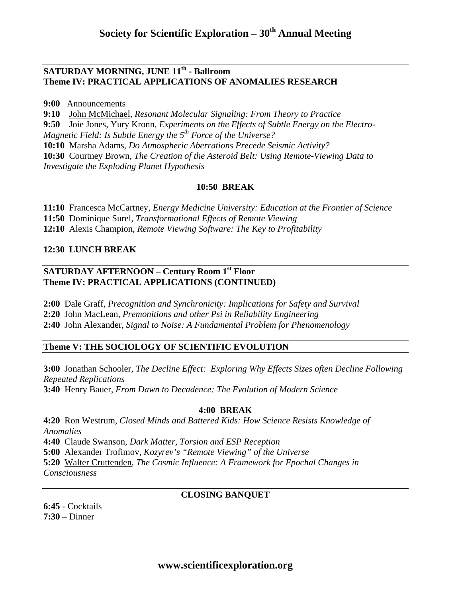#### **SATURDAY MORNING, JUNE 11th - Ballroom Theme IV: PRACTICAL APPLICATIONS OF ANOMALIES RESEARCH**

**9:00** Announcements

**9:10** John McMichael, *Resonant Molecular Signaling: From Theory to Practice* 

**9:50** Joie Jones, Yury Kronn, *Experiments on the Effects of Subtle Energy on the Electro-*

*Magnetic Field: Is Subtle Energy the 5th Force of the Universe?* 

**10:10** Marsha Adams, *Do Atmospheric Aberrations Precede Seismic Activity?* 

**10:30** Courtney Brown, *The Creation of the Asteroid Belt: Using Remote-Viewing Data to Investigate the Exploding Planet Hypothesis* 

#### **10:50 BREAK**

**11:10** Francesca McCartney, *Energy Medicine University: Education at the Frontier of Science* 

**11:50** Dominique Surel, *Transformational Effects of Remote Viewing* 

**12:10** Alexis Champion, *Remote Viewing Software: The Key to Profitability* 

#### **12:30 LUNCH BREAK**

#### **SATURDAY AFTERNOON – Century Room 1st Floor Theme IV: PRACTICAL APPLICATIONS (CONTINUED)**

**2:00** Dale Graff, *Precognition and Synchronicity: Implications for Safety and Survival* 

**2:20** John MacLean, *Premonitions and other Psi in Reliability Engineering* 

**2:40** John Alexander, *Signal to Noise: A Fundamental Problem for Phenomenology* 

#### **Theme V: THE SOCIOLOGY OF SCIENTIFIC EVOLUTION**

**3:00** Jonathan Schooler, *The Decline Effect: Exploring Why Effects Sizes often Decline Following Repeated Replications*  **3:40** Henry Bauer, *From Dawn to Decadence: The Evolution of Modern Science* 

#### **4:00 BREAK**

**4:20** Ron Westrum, *Closed Minds and Battered Kids: How Science Resists Knowledge of Anomalies*  **4:40** Claude Swanson, *Dark Matter, Torsion and ESP Reception*  **5:00** Alexander Trofimov, *Kozyrev's "Remote Viewing" of the Universe*  **5:20** Walter Cruttenden, *The Cosmic Influence: A Framework for Epochal Changes in Consciousness* 

#### **CLOSING BANQUET**

**6:45** - Cocktails **7:30** – Dinner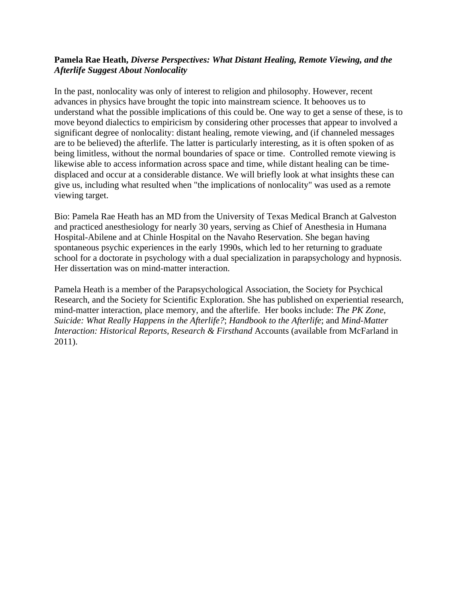#### **Pamela Rae Heath,** *Diverse Perspectives: What Distant Healing, Remote Viewing, and the Afterlife Suggest About Nonlocality*

In the past, nonlocality was only of interest to religion and philosophy. However, recent advances in physics have brought the topic into mainstream science. It behooves us to understand what the possible implications of this could be. One way to get a sense of these, is to move beyond dialectics to empiricism by considering other processes that appear to involved a significant degree of nonlocality: distant healing, remote viewing, and (if channeled messages are to be believed) the afterlife. The latter is particularly interesting, as it is often spoken of as being limitless, without the normal boundaries of space or time. Controlled remote viewing is likewise able to access information across space and time, while distant healing can be timedisplaced and occur at a considerable distance. We will briefly look at what insights these can give us, including what resulted when "the implications of nonlocality" was used as a remote viewing target.

Bio: Pamela Rae Heath has an MD from the University of Texas Medical Branch at Galveston and practiced anesthesiology for nearly 30 years, serving as Chief of Anesthesia in Humana Hospital-Abilene and at Chinle Hospital on the Navaho Reservation. She began having spontaneous psychic experiences in the early 1990s, which led to her returning to graduate school for a doctorate in psychology with a dual specialization in parapsychology and hypnosis. Her dissertation was on mind-matter interaction.

Pamela Heath is a member of the Parapsychological Association, the Society for Psychical Research, and the Society for Scientific Exploration. She has published on experiential research, mind-matter interaction, place memory, and the afterlife. Her books include: *The PK Zone*, *Suicide: What Really Happens in the Afterlife?*; *Handbook to the Afterlife*; and *Mind-Matter Interaction: Historical Reports, Research & Firsthand* Accounts (available from McFarland in 2011).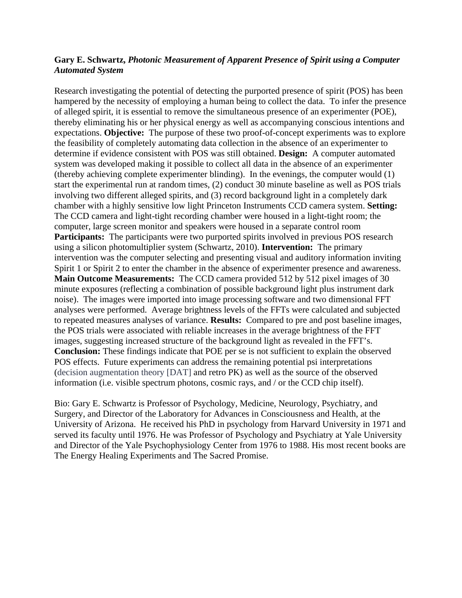#### **Gary E. Schwartz,** *Photonic Measurement of Apparent Presence of Spirit using a Computer Automated System*

Research investigating the potential of detecting the purported presence of spirit (POS) has been hampered by the necessity of employing a human being to collect the data. To infer the presence of alleged spirit, it is essential to remove the simultaneous presence of an experimenter (POE), thereby eliminating his or her physical energy as well as accompanying conscious intentions and expectations. **Objective:** The purpose of these two proof-of-concept experiments was to explore the feasibility of completely automating data collection in the absence of an experimenter to determine if evidence consistent with POS was still obtained. **Design:** A computer automated system was developed making it possible to collect all data in the absence of an experimenter (thereby achieving complete experimenter blinding). In the evenings, the computer would (1) start the experimental run at random times, (2) conduct 30 minute baseline as well as POS trials involving two different alleged spirits, and (3) record background light in a completely dark chamber with a highly sensitive low light Princeton Instruments CCD camera system. **Setting:**  The CCD camera and light-tight recording chamber were housed in a light-tight room; the computer, large screen monitor and speakers were housed in a separate control room **Participants:** The participants were two purported spirits involved in previous POS research using a silicon photomultiplier system (Schwartz, 2010). **Intervention:** The primary intervention was the computer selecting and presenting visual and auditory information inviting Spirit 1 or Spirit 2 to enter the chamber in the absence of experimenter presence and awareness. **Main Outcome Measurements:** The CCD camera provided 512 by 512 pixel images of 30 minute exposures (reflecting a combination of possible background light plus instrument dark noise). The images were imported into image processing software and two dimensional FFT analyses were performed. Average brightness levels of the FFTs were calculated and subjected to repeated measures analyses of variance. **Results:** Compared to pre and post baseline images, the POS trials were associated with reliable increases in the average brightness of the FFT images, suggesting increased structure of the background light as revealed in the FFT's. **Conclusion:** These findings indicate that POE per se is not sufficient to explain the observed POS effects. Future experiments can address the remaining potential psi interpretations (decision augmentation theory [DAT] and retro PK) as well as the source of the observed information (i.e. visible spectrum photons, cosmic rays, and / or the CCD chip itself).

Bio: Gary E. Schwartz is Professor of Psychology, Medicine, Neurology, Psychiatry, and Surgery, and Director of the Laboratory for Advances in Consciousness and Health, at the University of Arizona. He received his PhD in psychology from Harvard University in 1971 and served its faculty until 1976. He was Professor of Psychology and Psychiatry at Yale University and Director of the Yale Psychophysiology Center from 1976 to 1988. His most recent books are The Energy Healing Experiments and The Sacred Promise.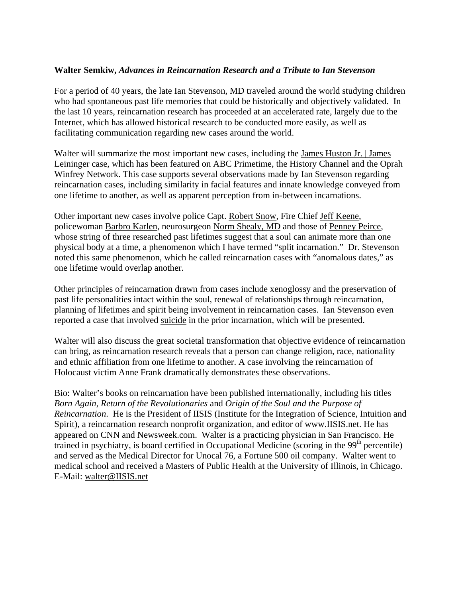#### **Walter Semkiw,** *Advances in Reincarnation Research and a Tribute to Ian Stevenson*

For a period of 40 years, the late Ian Stevenson, MD traveled around the world studying children who had spontaneous past life memories that could be historically and objectively validated. In the last 10 years, reincarnation research has proceeded at an accelerated rate, largely due to the Internet, which has allowed historical research to be conducted more easily, as well as facilitating communication regarding new cases around the world.

Walter will summarize the most important new cases, including the James Huston Jr. | James Leininger case, which has been featured on ABC Primetime, the History Channel and the Oprah Winfrey Network. This case supports several observations made by Ian Stevenson regarding reincarnation cases, including similarity in facial features and innate knowledge conveyed from one lifetime to another, as well as apparent perception from in-between incarnations.

Other important new cases involve police Capt. Robert Snow, Fire Chief Jeff Keene, policewoman Barbro Karlen, neurosurgeon Norm Shealy, MD and those of Penney Peirce, whose string of three researched past lifetimes suggest that a soul can animate more than one physical body at a time, a phenomenon which I have termed "split incarnation." Dr. Stevenson noted this same phenomenon, which he called reincarnation cases with "anomalous dates," as one lifetime would overlap another.

Other principles of reincarnation drawn from cases include xenoglossy and the preservation of past life personalities intact within the soul, renewal of relationships through reincarnation, planning of lifetimes and spirit being involvement in reincarnation cases. Ian Stevenson even reported a case that involved suicide in the prior incarnation, which will be presented.

Walter will also discuss the great societal transformation that objective evidence of reincarnation can bring, as reincarnation research reveals that a person can change religion, race, nationality and ethnic affiliation from one lifetime to another. A case involving the reincarnation of Holocaust victim Anne Frank dramatically demonstrates these observations.

Bio: Walter's books on reincarnation have been published internationally, including his titles *Born Again*, *Return of the Revolutionaries* and *Origin of the Soul and the Purpose of Reincarnation*. He is the President of IISIS (Institute for the Integration of Science, Intuition and Spirit), a reincarnation research nonprofit organization, and editor of www.IISIS.net. He has appeared on CNN and Newsweek.com. Walter is a practicing physician in San Francisco. He trained in psychiatry, is board certified in Occupational Medicine (scoring in the  $99<sup>th</sup>$  percentile) and served as the Medical Director for Unocal 76, a Fortune 500 oil company. Walter went to medical school and received a Masters of Public Health at the University of Illinois, in Chicago. E-Mail: walter@IISIS.net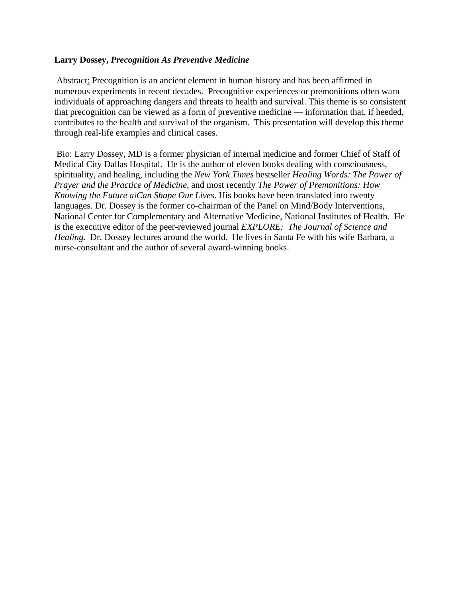#### **Larry Dossey,** *Precognition As Preventive Medicine*

 Abstract: Precognition is an ancient element in human history and has been affirmed in numerous experiments in recent decades. Precognitive experiences or premonitions often warn individuals of approaching dangers and threats to health and survival. This theme is so consistent that precognition can be viewed as a form of preventive medicine — information that, if heeded, contributes to the health and survival of the organism. This presentation will develop this theme through real-life examples and clinical cases.

 Bio: Larry Dossey, MD is a former physician of internal medicine and former Chief of Staff of Medical City Dallas Hospital. He is the author of eleven books dealing with consciousness, spirituality, and healing, including the *New York Times* bestseller *Healing Words: The Power of Prayer and the Practice of Medicine*, and most recently *The Power of Premonitions: How Knowing the Future a*\Can *Shape Our Lives*. His books have been translated into twenty languages. Dr. Dossey is the former co-chairman of the Panel on Mind/Body Interventions, National Center for Complementary and Alternative Medicine, National Institutes of Health. He is the executive editor of the peer-reviewed journal *EXPLORE: The Journal of Science and Healing.* Dr. Dossey lectures around the world. He lives in Santa Fe with his wife Barbara, a nurse-consultant and the author of several award-winning books.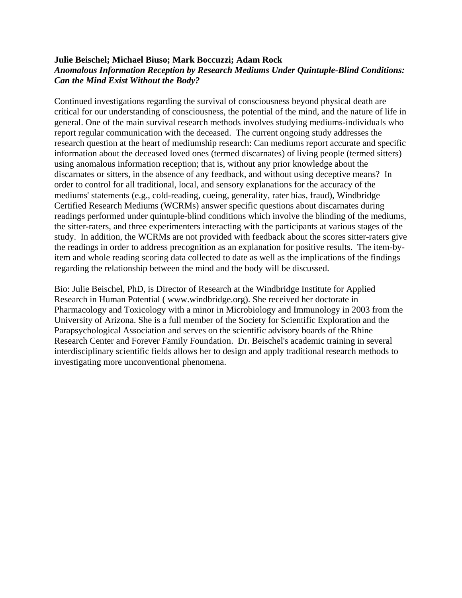#### **Julie Beischel; Michael Biuso; Mark Boccuzzi; Adam Rock**  *Anomalous Information Reception by Research Mediums Under Quintuple-Blind Conditions: Can the Mind Exist Without the Body?*

Continued investigations regarding the survival of consciousness beyond physical death are critical for our understanding of consciousness, the potential of the mind, and the nature of life in general. One of the main survival research methods involves studying mediums-individuals who report regular communication with the deceased. The current ongoing study addresses the research question at the heart of mediumship research: Can mediums report accurate and specific information about the deceased loved ones (termed discarnates) of living people (termed sitters) using anomalous information reception; that is, without any prior knowledge about the discarnates or sitters, in the absence of any feedback, and without using deceptive means? In order to control for all traditional, local, and sensory explanations for the accuracy of the mediums' statements (e.g., cold-reading, cueing, generality, rater bias, fraud), Windbridge Certified Research Mediums (WCRMs) answer specific questions about discarnates during readings performed under quintuple-blind conditions which involve the blinding of the mediums, the sitter-raters, and three experimenters interacting with the participants at various stages of the study. In addition, the WCRMs are not provided with feedback about the scores sitter-raters give the readings in order to address precognition as an explanation for positive results. The item-byitem and whole reading scoring data collected to date as well as the implications of the findings regarding the relationship between the mind and the body will be discussed.

Bio: Julie Beischel, PhD, is Director of Research at the Windbridge Institute for Applied Research in Human Potential ( www.windbridge.org). She received her doctorate in Pharmacology and Toxicology with a minor in Microbiology and Immunology in 2003 from the University of Arizona. She is a full member of the Society for Scientific Exploration and the Parapsychological Association and serves on the scientific advisory boards of the Rhine Research Center and Forever Family Foundation. Dr. Beischel's academic training in several interdisciplinary scientific fields allows her to design and apply traditional research methods to investigating more unconventional phenomena.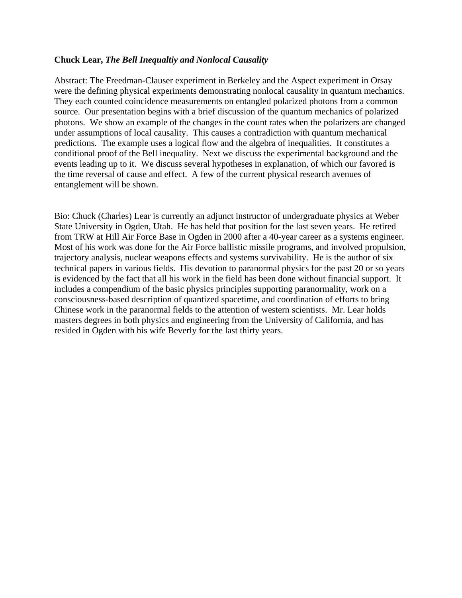#### **Chuck Lear,** *The Bell Inequaltiy and Nonlocal Causality*

Abstract: The Freedman-Clauser experiment in Berkeley and the Aspect experiment in Orsay were the defining physical experiments demonstrating nonlocal causality in quantum mechanics. They each counted coincidence measurements on entangled polarized photons from a common source. Our presentation begins with a brief discussion of the quantum mechanics of polarized photons. We show an example of the changes in the count rates when the polarizers are changed under assumptions of local causality. This causes a contradiction with quantum mechanical predictions. The example uses a logical flow and the algebra of inequalities. It constitutes a conditional proof of the Bell inequality. Next we discuss the experimental background and the events leading up to it. We discuss several hypotheses in explanation, of which our favored is the time reversal of cause and effect. A few of the current physical research avenues of entanglement will be shown.

Bio: Chuck (Charles) Lear is currently an adjunct instructor of undergraduate physics at Weber State University in Ogden, Utah. He has held that position for the last seven years. He retired from TRW at Hill Air Force Base in Ogden in 2000 after a 40-year career as a systems engineer. Most of his work was done for the Air Force ballistic missile programs, and involved propulsion, trajectory analysis, nuclear weapons effects and systems survivability. He is the author of six technical papers in various fields. His devotion to paranormal physics for the past 20 or so years is evidenced by the fact that all his work in the field has been done without financial support. It includes a compendium of the basic physics principles supporting paranormality, work on a consciousness-based description of quantized spacetime, and coordination of efforts to bring Chinese work in the paranormal fields to the attention of western scientists. Mr. Lear holds masters degrees in both physics and engineering from the University of California, and has resided in Ogden with his wife Beverly for the last thirty years.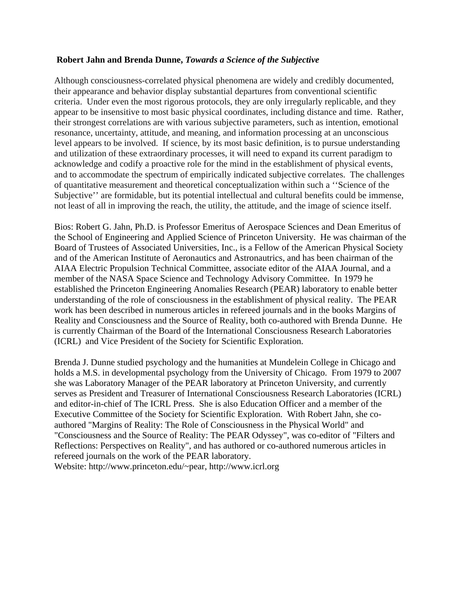#### **Robert Jahn and Brenda Dunne,** *Towards a Science of the Subjective*

Although consciousness-correlated physical phenomena are widely and credibly documented, their appearance and behavior display substantial departures from conventional scientific criteria. Under even the most rigorous protocols, they are only irregularly replicable, and they appear to be insensitive to most basic physical coordinates, including distance and time. Rather, their strongest correlations are with various subjective parameters, such as intention, emotional resonance, uncertainty, attitude, and meaning, and information processing at an unconscious level appears to be involved. If science, by its most basic definition, is to pursue understanding and utilization of these extraordinary processes, it will need to expand its current paradigm to acknowledge and codify a proactive role for the mind in the establishment of physical events, and to accommodate the spectrum of empirically indicated subjective correlates. The challenges of quantitative measurement and theoretical conceptualization within such a ''Science of the Subjective'' are formidable, but its potential intellectual and cultural benefits could be immense, not least of all in improving the reach, the utility, the attitude, and the image of science itself.

Bios: Robert G. Jahn, Ph.D. is Professor Emeritus of Aerospace Sciences and Dean Emeritus of the School of Engineering and Applied Science of Princeton University. He was chairman of the Board of Trustees of Associated Universities, Inc., is a Fellow of the American Physical Society and of the American Institute of Aeronautics and Astronautrics, and has been chairman of the AIAA Electric Propulsion Technical Committee, associate editor of the AIAA Journal, and a member of the NASA Space Science and Technology Advisory Committee. In 1979 he established the Princeton Engineering Anomalies Research (PEAR) laboratory to enable better understanding of the role of consciousness in the establishment of physical reality. The PEAR work has been described in numerous articles in refereed journals and in the books Margins of Reality and Consciousness and the Source of Reality, both co-authored with Brenda Dunne. He is currently Chairman of the Board of the International Consciousness Research Laboratories (ICRL) and Vice President of the Society for Scientific Exploration.

Brenda J. Dunne studied psychology and the humanities at Mundelein College in Chicago and holds a M.S. in developmental psychology from the University of Chicago. From 1979 to 2007 she was Laboratory Manager of the PEAR laboratory at Princeton University, and currently serves as President and Treasurer of International Consciousness Research Laboratories (ICRL) and editor-in-chief of The ICRL Press. She is also Education Officer and a member of the Executive Committee of the Society for Scientific Exploration. With Robert Jahn, she coauthored "Margins of Reality: The Role of Consciousness in the Physical World" and "Consciousness and the Source of Reality: The PEAR Odyssey", was co-editor of "Filters and Reflections: Perspectives on Reality", and has authored or co-authored numerous articles in refereed journals on the work of the PEAR laboratory.

Website: http://www.princeton.edu/~pear, http://www.icrl.org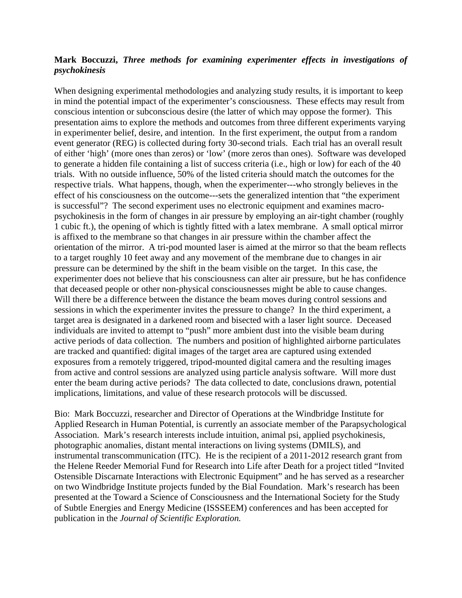#### **Mark Boccuzzi,** *Three methods for examining experimenter effects in investigations of psychokinesis*

When designing experimental methodologies and analyzing study results, it is important to keep in mind the potential impact of the experimenter's consciousness. These effects may result from conscious intention or subconscious desire (the latter of which may oppose the former). This presentation aims to explore the methods and outcomes from three different experiments varying in experimenter belief, desire, and intention. In the first experiment, the output from a random event generator (REG) is collected during forty 30-second trials. Each trial has an overall result of either 'high' (more ones than zeros) or 'low' (more zeros than ones). Software was developed to generate a hidden file containing a list of success criteria (i.e., high or low) for each of the 40 trials. With no outside influence, 50% of the listed criteria should match the outcomes for the respective trials. What happens, though, when the experimenter---who strongly believes in the effect of his consciousness on the outcome---sets the generalized intention that "the experiment is successful"? The second experiment uses no electronic equipment and examines macropsychokinesis in the form of changes in air pressure by employing an air-tight chamber (roughly 1 cubic ft.), the opening of which is tightly fitted with a latex membrane. A small optical mirror is affixed to the membrane so that changes in air pressure within the chamber affect the orientation of the mirror. A tri-pod mounted laser is aimed at the mirror so that the beam reflects to a target roughly 10 feet away and any movement of the membrane due to changes in air pressure can be determined by the shift in the beam visible on the target. In this case, the experimenter does not believe that his consciousness can alter air pressure, but he has confidence that deceased people or other non-physical consciousnesses might be able to cause changes. Will there be a difference between the distance the beam moves during control sessions and sessions in which the experimenter invites the pressure to change? In the third experiment, a target area is designated in a darkened room and bisected with a laser light source. Deceased individuals are invited to attempt to "push" more ambient dust into the visible beam during active periods of data collection. The numbers and position of highlighted airborne particulates are tracked and quantified: digital images of the target area are captured using extended exposures from a remotely triggered, tripod-mounted digital camera and the resulting images from active and control sessions are analyzed using particle analysis software. Will more dust enter the beam during active periods? The data collected to date, conclusions drawn, potential implications, limitations, and value of these research protocols will be discussed.

Bio: Mark Boccuzzi, researcher and Director of Operations at the Windbridge Institute for Applied Research in Human Potential, is currently an associate member of the Parapsychological Association. Mark's research interests include intuition, animal psi, applied psychokinesis, photographic anomalies, distant mental interactions on living systems (DMILS), and instrumental transcommunication (ITC). He is the recipient of a 2011-2012 research grant from the Helene Reeder Memorial Fund for Research into Life after Death for a project titled "Invited Ostensible Discarnate Interactions with Electronic Equipment" and he has served as a researcher on two Windbridge Institute projects funded by the Bial Foundation. Mark's research has been presented at the Toward a Science of Consciousness and the International Society for the Study of Subtle Energies and Energy Medicine (ISSSEEM) conferences and has been accepted for publication in the *Journal of Scientific Exploration.*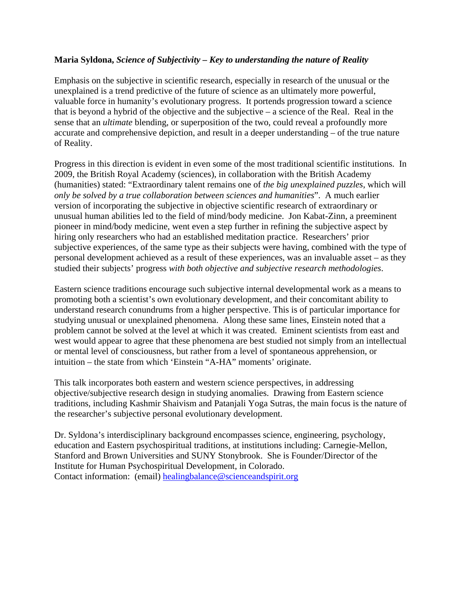#### **Maria Syldona,** *Science of Subjectivity – Key to understanding the nature of Reality*

Emphasis on the subjective in scientific research, especially in research of the unusual or the unexplained is a trend predictive of the future of science as an ultimately more powerful, valuable force in humanity's evolutionary progress. It portends progression toward a science that is beyond a hybrid of the objective and the subjective  $-$  a science of the Real. Real in the sense that an *ultimate* blending, or superposition of the two, could reveal a profoundly more accurate and comprehensive depiction, and result in a deeper understanding – of the true nature of Reality.

Progress in this direction is evident in even some of the most traditional scientific institutions. In 2009, the British Royal Academy (sciences), in collaboration with the British Academy (humanities) stated: "Extraordinary talent remains one of *the big unexplained puzzles*, which will *only be solved by a true collaboration between sciences and humanities*". A much earlier version of incorporating the subjective in objective scientific research of extraordinary or unusual human abilities led to the field of mind/body medicine. Jon Kabat-Zinn, a preeminent pioneer in mind/body medicine, went even a step further in refining the subjective aspect by hiring only researchers who had an established meditation practice. Researchers' prior subjective experiences, of the same type as their subjects were having, combined with the type of personal development achieved as a result of these experiences, was an invaluable asset – as they studied their subjects' progress *with both objective and subjective research methodologies*.

Eastern science traditions encourage such subjective internal developmental work as a means to promoting both a scientist's own evolutionary development, and their concomitant ability to understand research conundrums from a higher perspective. This is of particular importance for studying unusual or unexplained phenomena. Along these same lines, Einstein noted that a problem cannot be solved at the level at which it was created. Eminent scientists from east and west would appear to agree that these phenomena are best studied not simply from an intellectual or mental level of consciousness, but rather from a level of spontaneous apprehension, or intuition – the state from which 'Einstein "A-HA" moments' originate.

This talk incorporates both eastern and western science perspectives, in addressing objective/subjective research design in studying anomalies. Drawing from Eastern science traditions, including Kashmir Shaivism and Patanjali Yoga Sutras, the main focus is the nature of the researcher's subjective personal evolutionary development.

Dr. Syldona's interdisciplinary background encompasses science, engineering, psychology, education and Eastern psychospiritual traditions, at institutions including: Carnegie-Mellon, Stanford and Brown Universities and SUNY Stonybrook. She is Founder/Director of the Institute for Human Psychospiritual Development, in Colorado. Contact information: (email) healingbalance@scienceandspirit.org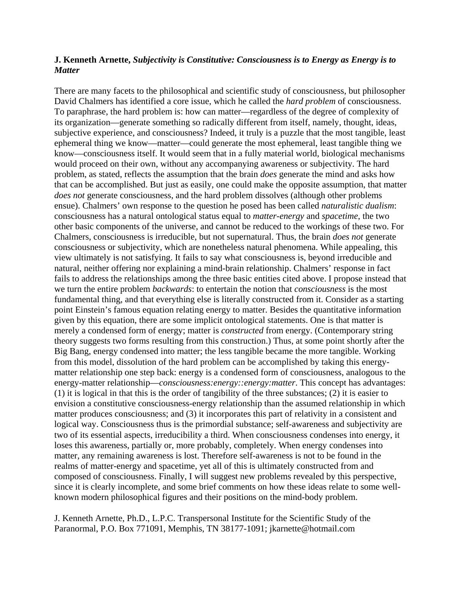#### **J. Kenneth Arnette,** *Subjectivity is Constitutive: Consciousness is to Energy as Energy is to Matter*

There are many facets to the philosophical and scientific study of consciousness, but philosopher David Chalmers has identified a core issue, which he called the *hard problem* of consciousness. To paraphrase, the hard problem is: how can matter—regardless of the degree of complexity of its organization—generate something so radically different from itself, namely, thought, ideas, subjective experience, and consciousness? Indeed, it truly is a puzzle that the most tangible, least ephemeral thing we know—matter—could generate the most ephemeral, least tangible thing we know—consciousness itself. It would seem that in a fully material world, biological mechanisms would proceed on their own, without any accompanying awareness or subjectivity. The hard problem, as stated, reflects the assumption that the brain *does* generate the mind and asks how that can be accomplished. But just as easily, one could make the opposite assumption, that matter *does not* generate consciousness, and the hard problem dissolves (although other problems ensue). Chalmers' own response to the question he posed has been called *naturalistic dualism*: consciousness has a natural ontological status equal to *matter-energy* and *spacetime*, the two other basic components of the universe, and cannot be reduced to the workings of these two. For Chalmers, consciousness is irreducible, but not supernatural. Thus, the brain *does not* generate consciousness or subjectivity, which are nonetheless natural phenomena. While appealing, this view ultimately is not satisfying. It fails to say what consciousness is, beyond irreducible and natural, neither offering nor explaining a mind-brain relationship. Chalmers' response in fact fails to address the relationships among the three basic entities cited above. I propose instead that we turn the entire problem *backwards*: to entertain the notion that *consciousness* is the most fundamental thing, and that everything else is literally constructed from it. Consider as a starting point Einstein's famous equation relating energy to matter. Besides the quantitative information given by this equation, there are some implicit ontological statements. One is that matter is merely a condensed form of energy; matter is *constructed* from energy. (Contemporary string theory suggests two forms resulting from this construction.) Thus, at some point shortly after the Big Bang, energy condensed into matter; the less tangible became the more tangible. Working from this model, dissolution of the hard problem can be accomplished by taking this energymatter relationship one step back: energy is a condensed form of consciousness, analogous to the energy-matter relationship—*consciousness:energy::energy:matter*. This concept has advantages: (1) it is logical in that this is the order of tangibility of the three substances; (2) it is easier to envision a constitutive consciousness-energy relationship than the assumed relationship in which matter produces consciousness; and (3) it incorporates this part of relativity in a consistent and logical way. Consciousness thus is the primordial substance; self-awareness and subjectivity are two of its essential aspects, irreducibility a third. When consciousness condenses into energy, it loses this awareness, partially or, more probably, completely. When energy condenses into matter, any remaining awareness is lost. Therefore self-awareness is not to be found in the realms of matter-energy and spacetime, yet all of this is ultimately constructed from and composed of consciousness. Finally, I will suggest new problems revealed by this perspective, since it is clearly incomplete, and some brief comments on how these ideas relate to some wellknown modern philosophical figures and their positions on the mind-body problem.

J. Kenneth Arnette, Ph.D., L.P.C. Transpersonal Institute for the Scientific Study of the Paranormal, P.O. Box 771091, Memphis, TN 38177-1091; jkarnette@hotmail.com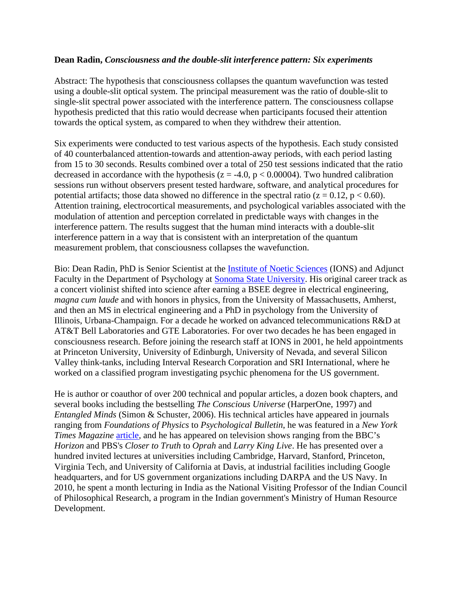#### **Dean Radin,** *Consciousness and the double-slit interference pattern: Six experiments*

Abstract: The hypothesis that consciousness collapses the quantum wavefunction was tested using a double-slit optical system. The principal measurement was the ratio of double-slit to single-slit spectral power associated with the interference pattern. The consciousness collapse hypothesis predicted that this ratio would decrease when participants focused their attention towards the optical system, as compared to when they withdrew their attention.

Six experiments were conducted to test various aspects of the hypothesis. Each study consisted of 40 counterbalanced attention-towards and attention-away periods, with each period lasting from 15 to 30 seconds. Results combined over a total of 250 test sessions indicated that the ratio decreased in accordance with the hypothesis ( $z = -4.0$ ,  $p < 0.00004$ ). Two hundred calibration sessions run without observers present tested hardware, software, and analytical procedures for potential artifacts; those data showed no difference in the spectral ratio ( $z = 0.12$ ,  $p < 0.60$ ). Attention training, electrocortical measurements, and psychological variables associated with the modulation of attention and perception correlated in predictable ways with changes in the interference pattern. The results suggest that the human mind interacts with a double-slit interference pattern in a way that is consistent with an interpretation of the quantum measurement problem, that consciousness collapses the wavefunction.

Bio: Dean Radin, PhD is Senior Scientist at the Institute of Noetic Sciences (IONS) and Adjunct Faculty in the Department of Psychology at Sonoma State University. His original career track as a concert violinist shifted into science after earning a BSEE degree in electrical engineering, *magna cum laude* and with honors in physics, from the University of Massachusetts, Amherst, and then an MS in electrical engineering and a PhD in psychology from the University of Illinois, Urbana-Champaign. For a decade he worked on advanced telecommunications R&D at AT&T Bell Laboratories and GTE Laboratories. For over two decades he has been engaged in consciousness research. Before joining the research staff at IONS in 2001, he held appointments at Princeton University, University of Edinburgh, University of Nevada, and several Silicon Valley think-tanks, including Interval Research Corporation and SRI International, where he worked on a classified program investigating psychic phenomena for the US government.

He is author or coauthor of over 200 technical and popular articles, a dozen book chapters, and several books including the bestselling *The Conscious Universe* (HarperOne, 1997) and *Entangled Minds* (Simon & Schuster, 2006). His technical articles have appeared in journals ranging from *Foundations of Physics* to *Psychological Bulletin*, he was featured in a *New York Times Magazine* article, and he has appeared on television shows ranging from the BBC's *Horizon* and PBS's *Closer to Truth* to *Oprah* and *Larry King Live*. He has presented over a hundred invited lectures at universities including Cambridge, Harvard, Stanford, Princeton, Virginia Tech, and University of California at Davis, at industrial facilities including Google headquarters, and for US government organizations including DARPA and the US Navy. In 2010, he spent a month lecturing in India as the National Visiting Professor of the Indian Council of Philosophical Research, a program in the Indian government's Ministry of Human Resource Development.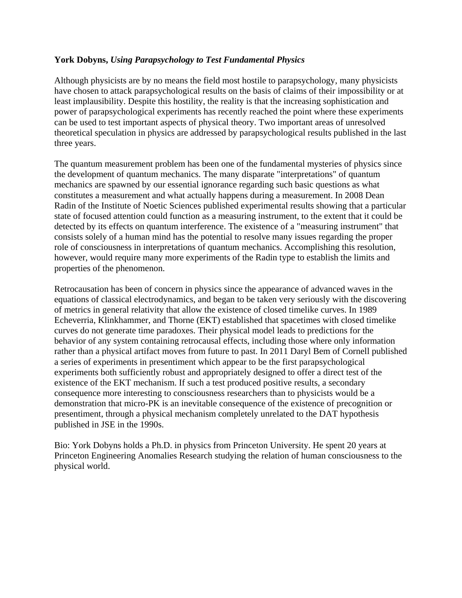#### **York Dobyns,** *Using Parapsychology to Test Fundamental Physics*

Although physicists are by no means the field most hostile to parapsychology, many physicists have chosen to attack parapsychological results on the basis of claims of their impossibility or at least implausibility. Despite this hostility, the reality is that the increasing sophistication and power of parapsychological experiments has recently reached the point where these experiments can be used to test important aspects of physical theory. Two important areas of unresolved theoretical speculation in physics are addressed by parapsychological results published in the last three years.

The quantum measurement problem has been one of the fundamental mysteries of physics since the development of quantum mechanics. The many disparate "interpretations" of quantum mechanics are spawned by our essential ignorance regarding such basic questions as what constitutes a measurement and what actually happens during a measurement. In 2008 Dean Radin of the Institute of Noetic Sciences published experimental results showing that a particular state of focused attention could function as a measuring instrument, to the extent that it could be detected by its effects on quantum interference. The existence of a "measuring instrument" that consists solely of a human mind has the potential to resolve many issues regarding the proper role of consciousness in interpretations of quantum mechanics. Accomplishing this resolution, however, would require many more experiments of the Radin type to establish the limits and properties of the phenomenon.

Retrocausation has been of concern in physics since the appearance of advanced waves in the equations of classical electrodynamics, and began to be taken very seriously with the discovering of metrics in general relativity that allow the existence of closed timelike curves. In 1989 Echeverria, Klinkhammer, and Thorne (EKT) established that spacetimes with closed timelike curves do not generate time paradoxes. Their physical model leads to predictions for the behavior of any system containing retrocausal effects, including those where only information rather than a physical artifact moves from future to past. In 2011 Daryl Bem of Cornell published a series of experiments in presentiment which appear to be the first parapsychological experiments both sufficiently robust and appropriately designed to offer a direct test of the existence of the EKT mechanism. If such a test produced positive results, a secondary consequence more interesting to consciousness researchers than to physicists would be a demonstration that micro-PK is an inevitable consequence of the existence of precognition or presentiment, through a physical mechanism completely unrelated to the DAT hypothesis published in JSE in the 1990s.

Bio: York Dobyns holds a Ph.D. in physics from Princeton University. He spent 20 years at Princeton Engineering Anomalies Research studying the relation of human consciousness to the physical world.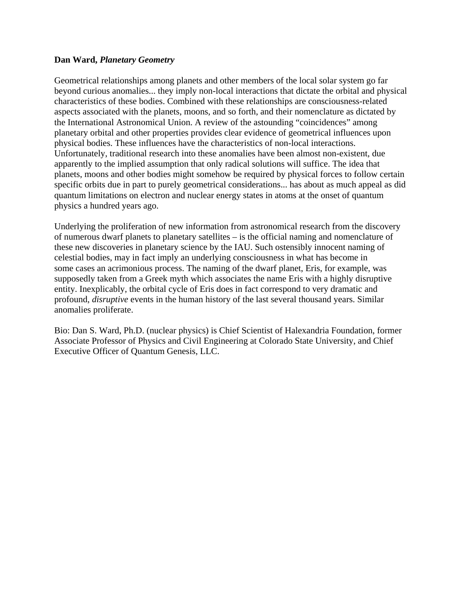#### **Dan Ward,** *Planetary Geometry*

Geometrical relationships among planets and other members of the local solar system go far beyond curious anomalies... they imply non-local interactions that dictate the orbital and physical characteristics of these bodies. Combined with these relationships are consciousness-related aspects associated with the planets, moons, and so forth, and their nomenclature as dictated by the International Astronomical Union. A review of the astounding "coincidences" among planetary orbital and other properties provides clear evidence of geometrical influences upon physical bodies. These influences have the characteristics of non-local interactions. Unfortunately, traditional research into these anomalies have been almost non-existent, due apparently to the implied assumption that only radical solutions will suffice. The idea that planets, moons and other bodies might somehow be required by physical forces to follow certain specific orbits due in part to purely geometrical considerations... has about as much appeal as did quantum limitations on electron and nuclear energy states in atoms at the onset of quantum physics a hundred years ago.

Underlying the proliferation of new information from astronomical research from the discovery of numerous dwarf planets to planetary satellites – is the official naming and nomenclature of these new discoveries in planetary science by the IAU. Such ostensibly innocent naming of celestial bodies, may in fact imply an underlying consciousness in what has become in some cases an acrimonious process. The naming of the dwarf planet, Eris, for example, was supposedly taken from a Greek myth which associates the name Eris with a highly disruptive entity. Inexplicably, the orbital cycle of Eris does in fact correspond to very dramatic and profound, *disruptive* events in the human history of the last several thousand years. Similar anomalies proliferate.

Bio: Dan S. Ward, Ph.D. (nuclear physics) is Chief Scientist of Halexandria Foundation, former Associate Professor of Physics and Civil Engineering at Colorado State University, and Chief Executive Officer of Quantum Genesis, LLC.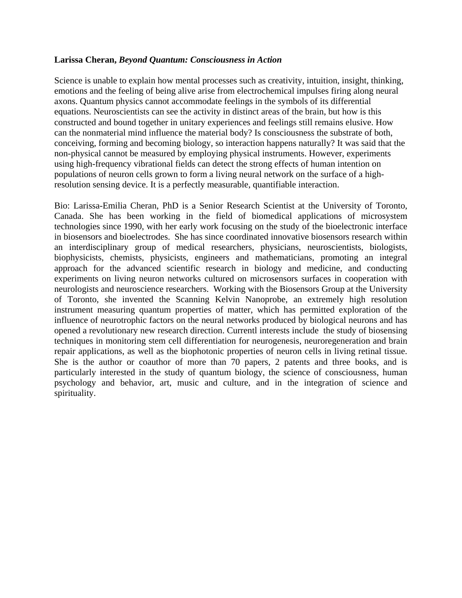#### **Larissa Cheran,** *Beyond Quantum: Consciousness in Action*

Science is unable to explain how mental processes such as creativity, intuition, insight, thinking, emotions and the feeling of being alive arise from electrochemical impulses firing along neural axons. Quantum physics cannot accommodate feelings in the symbols of its differential equations. Neuroscientists can see the activity in distinct areas of the brain, but how is this constructed and bound together in unitary experiences and feelings still remains elusive. How can the nonmaterial mind influence the material body? Is consciousness the substrate of both, conceiving, forming and becoming biology, so interaction happens naturally? It was said that the non-physical cannot be measured by employing physical instruments. However, experiments using high-frequency vibrational fields can detect the strong effects of human intention on populations of neuron cells grown to form a living neural network on the surface of a highresolution sensing device. It is a perfectly measurable, quantifiable interaction.

Bio: Larissa-Emilia Cheran, PhD is a Senior Research Scientist at the University of Toronto, Canada. She has been working in the field of biomedical applications of microsystem technologies since 1990, with her early work focusing on the study of the bioelectronic interface in biosensors and bioelectrodes. She has since coordinated innovative biosensors research within an interdisciplinary group of medical researchers, physicians, neuroscientists, biologists, biophysicists, chemists, physicists, engineers and mathematicians, promoting an integral approach for the advanced scientific research in biology and medicine, and conducting experiments on living neuron networks cultured on microsensors surfaces in cooperation with neurologists and neuroscience researchers. Working with the Biosensors Group at the University of Toronto, she invented the Scanning Kelvin Nanoprobe, an extremely high resolution instrument measuring quantum properties of matter, which has permitted exploration of the influence of neurotrophic factors on the neural networks produced by biological neurons and has opened a revolutionary new research direction. Currentl interests include the study of biosensing techniques in monitoring stem cell differentiation for neurogenesis, neuroregeneration and brain repair applications, as well as the biophotonic properties of neuron cells in living retinal tissue. She is the author or coauthor of more than 70 papers, 2 patents and three books, and is particularly interested in the study of quantum biology, the science of consciousness, human psychology and behavior, art, music and culture, and in the integration of science and spirituality.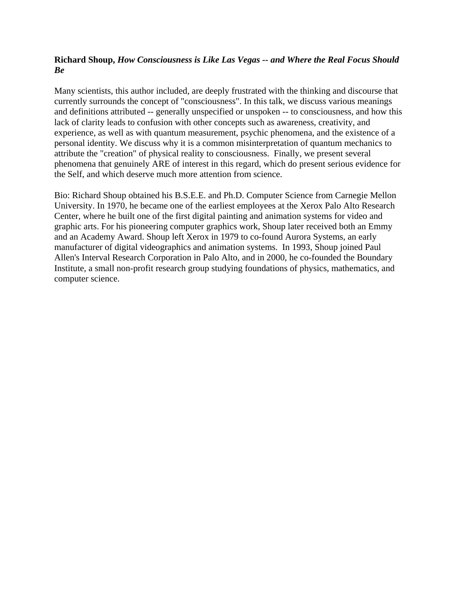#### **Richard Shoup,** *How Consciousness is Like Las Vegas -- and Where the Real Focus Should Be*

Many scientists, this author included, are deeply frustrated with the thinking and discourse that currently surrounds the concept of "consciousness". In this talk, we discuss various meanings and definitions attributed -- generally unspecified or unspoken -- to consciousness, and how this lack of clarity leads to confusion with other concepts such as awareness, creativity, and experience, as well as with quantum measurement, psychic phenomena, and the existence of a personal identity. We discuss why it is a common misinterpretation of quantum mechanics to attribute the "creation" of physical reality to consciousness. Finally, we present several phenomena that genuinely ARE of interest in this regard, which do present serious evidence for the Self, and which deserve much more attention from science.

Bio: Richard Shoup obtained his B.S.E.E. and Ph.D. Computer Science from Carnegie Mellon University. In 1970, he became one of the earliest employees at the Xerox Palo Alto Research Center, where he built one of the first digital painting and animation systems for video and graphic arts. For his pioneering computer graphics work, Shoup later received both an Emmy and an Academy Award. Shoup left Xerox in 1979 to co-found Aurora Systems, an early manufacturer of digital videographics and animation systems. In 1993, Shoup joined Paul Allen's Interval Research Corporation in Palo Alto, and in 2000, he co-founded the Boundary Institute, a small non-profit research group studying foundations of physics, mathematics, and computer science.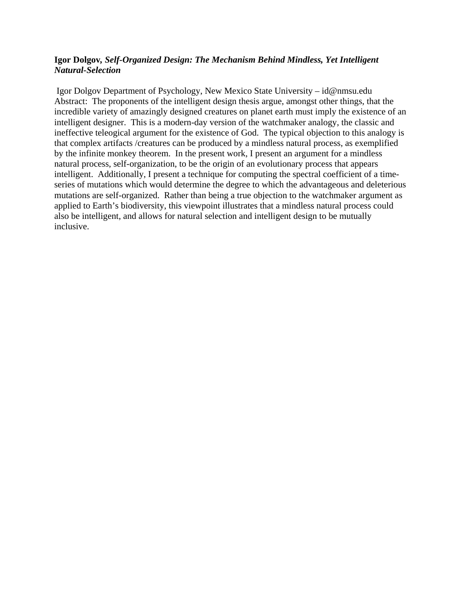#### **Igor Dolgov***, Self-Organized Design: The Mechanism Behind Mindless, Yet Intelligent Natural-Selection*

 Igor Dolgov Department of Psychology, New Mexico State University – id@nmsu.edu Abstract: The proponents of the intelligent design thesis argue, amongst other things, that the incredible variety of amazingly designed creatures on planet earth must imply the existence of an intelligent designer. This is a modern-day version of the watchmaker analogy, the classic and ineffective teleogical argument for the existence of God. The typical objection to this analogy is that complex artifacts /creatures can be produced by a mindless natural process, as exemplified by the infinite monkey theorem. In the present work, I present an argument for a mindless natural process, self-organization, to be the origin of an evolutionary process that appears intelligent. Additionally, I present a technique for computing the spectral coefficient of a timeseries of mutations which would determine the degree to which the advantageous and deleterious mutations are self-organized. Rather than being a true objection to the watchmaker argument as applied to Earth's biodiversity, this viewpoint illustrates that a mindless natural process could also be intelligent, and allows for natural selection and intelligent design to be mutually inclusive.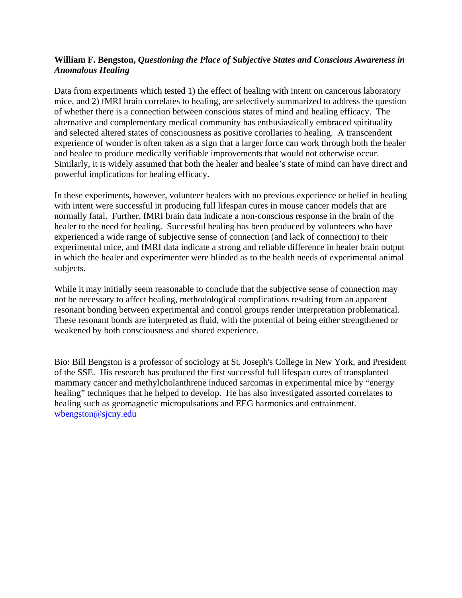#### **William F. Bengston,** *Questioning the Place of Subjective States and Conscious Awareness in Anomalous Healing*

Data from experiments which tested 1) the effect of healing with intent on cancerous laboratory mice, and 2) fMRI brain correlates to healing, are selectively summarized to address the question of whether there is a connection between conscious states of mind and healing efficacy. The alternative and complementary medical community has enthusiastically embraced spirituality and selected altered states of consciousness as positive corollaries to healing. A transcendent experience of wonder is often taken as a sign that a larger force can work through both the healer and healee to produce medically verifiable improvements that would not otherwise occur. Similarly, it is widely assumed that both the healer and healee's state of mind can have direct and powerful implications for healing efficacy.

In these experiments, however, volunteer healers with no previous experience or belief in healing with intent were successful in producing full lifespan cures in mouse cancer models that are normally fatal. Further, fMRI brain data indicate a non-conscious response in the brain of the healer to the need for healing. Successful healing has been produced by volunteers who have experienced a wide range of subjective sense of connection (and lack of connection) to their experimental mice, and fMRI data indicate a strong and reliable difference in healer brain output in which the healer and experimenter were blinded as to the health needs of experimental animal subjects.

While it may initially seem reasonable to conclude that the subjective sense of connection may not be necessary to affect healing, methodological complications resulting from an apparent resonant bonding between experimental and control groups render interpretation problematical. These resonant bonds are interpreted as fluid, with the potential of being either strengthened or weakened by both consciousness and shared experience.

Bio: Bill Bengston is a professor of sociology at St. Joseph's College in New York, and President of the SSE. His research has produced the first successful full lifespan cures of transplanted mammary cancer and methylcholanthrene induced sarcomas in experimental mice by "energy healing" techniques that he helped to develop. He has also investigated assorted correlates to healing such as geomagnetic micropulsations and EEG harmonics and entrainment. wbengston@sjcny.edu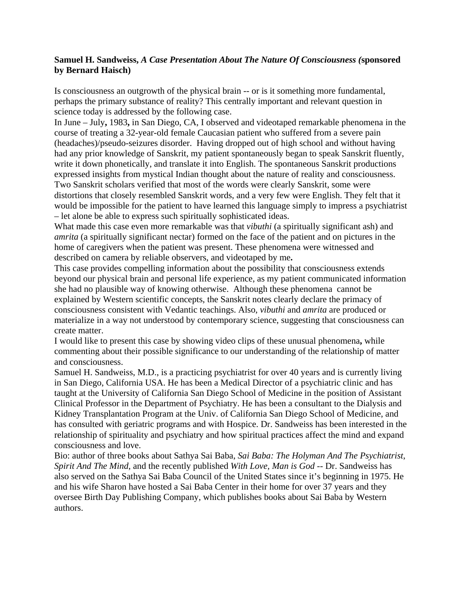#### **Samuel H. Sandweiss,** *A Case Presentation About The Nature Of Consciousness (***sponsored by Bernard Haisch)**

Is consciousness an outgrowth of the physical brain -- or is it something more fundamental, perhaps the primary substance of reality? This centrally important and relevant question in science today is addressed by the following case.

In June – July**,** 1983**,** in San Diego, CA, I observed and videotaped remarkable phenomena in the course of treating a 32-year-old female Caucasian patient who suffered from a severe pain (headaches)/pseudo-seizures disorder. Having dropped out of high school and without having had any prior knowledge of Sanskrit, my patient spontaneously began to speak Sanskrit fluently, write it down phonetically, and translate it into English. The spontaneous Sanskrit productions expressed insights from mystical Indian thought about the nature of reality and consciousness. Two Sanskrit scholars verified that most of the words were clearly Sanskrit, some were distortions that closely resembled Sanskrit words, and a very few were English. They felt that it would be impossible for the patient to have learned this language simply to impress a psychiatrist – let alone be able to express such spiritually sophisticated ideas.

What made this case even more remarkable was that *vibuthi* (a spiritually significant ash) and *amrita* (a spiritually significant nectar) formed on the face of the patient and on pictures in the home of caregivers when the patient was present. These phenomena were witnessed and described on camera by reliable observers, and videotaped by me**.**

This case provides compelling information about the possibility that consciousness extends beyond our physical brain and personal life experience, as my patient communicated information she had no plausible way of knowing otherwise. Although these phenomena cannot be explained by Western scientific concepts, the Sanskrit notes clearly declare the primacy of consciousness consistent with Vedantic teachings. Also, *vibuthi* and *amrita* are produced or materialize in a way not understood by contemporary science, suggesting that consciousness can create matter.

I would like to present this case by showing video clips of these unusual phenomena**,** while commenting about their possible significance to our understanding of the relationship of matter and consciousness.

Samuel H. Sandweiss, M.D., is a practicing psychiatrist for over 40 years and is currently living in San Diego, California USA. He has been a Medical Director of a psychiatric clinic and has taught at the University of California San Diego School of Medicine in the position of Assistant Clinical Professor in the Department of Psychiatry. He has been a consultant to the Dialysis and Kidney Transplantation Program at the Univ. of California San Diego School of Medicine, and has consulted with geriatric programs and with Hospice. Dr. Sandweiss has been interested in the relationship of spirituality and psychiatry and how spiritual practices affect the mind and expand consciousness and love.

Bio: author of three books about Sathya Sai Baba, *Sai Baba: The Holyman And The Psychiatrist*, *Spirit And The Mind*, and the recently published *With Love, Man is God* -- Dr. Sandweiss has also served on the Sathya Sai Baba Council of the United States since it's beginning in 1975. He and his wife Sharon have hosted a Sai Baba Center in their home for over 37 years and they oversee Birth Day Publishing Company, which publishes books about Sai Baba by Western authors.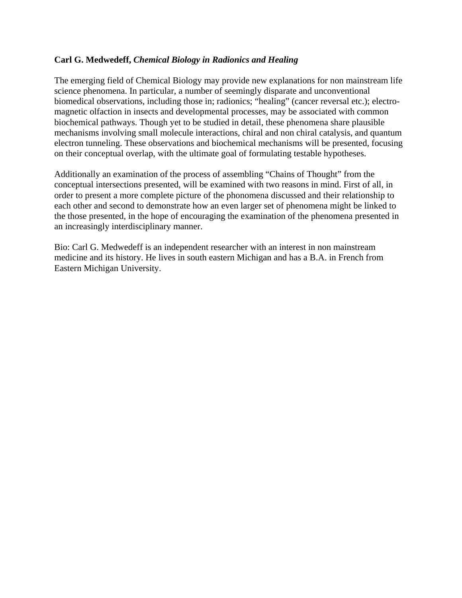#### **Carl G. Medwedeff,** *Chemical Biology in Radionics and Healing*

The emerging field of Chemical Biology may provide new explanations for non mainstream life science phenomena. In particular, a number of seemingly disparate and unconventional biomedical observations, including those in; radionics; "healing" (cancer reversal etc.); electromagnetic olfaction in insects and developmental processes, may be associated with common biochemical pathways. Though yet to be studied in detail, these phenomena share plausible mechanisms involving small molecule interactions, chiral and non chiral catalysis, and quantum electron tunneling. These observations and biochemical mechanisms will be presented, focusing on their conceptual overlap, with the ultimate goal of formulating testable hypotheses.

Additionally an examination of the process of assembling "Chains of Thought" from the conceptual intersections presented, will be examined with two reasons in mind. First of all, in order to present a more complete picture of the phonomena discussed and their relationship to each other and second to demonstrate how an even larger set of phenomena might be linked to the those presented, in the hope of encouraging the examination of the phenomena presented in an increasingly interdisciplinary manner.

Bio: Carl G. Medwedeff is an independent researcher with an interest in non mainstream medicine and its history. He lives in south eastern Michigan and has a B.A. in French from Eastern Michigan University.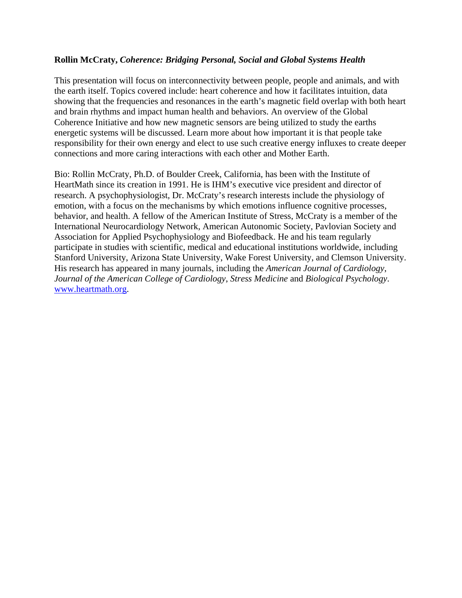#### **Rollin McCraty,** *Coherence: Bridging Personal, Social and Global Systems Health*

This presentation will focus on interconnectivity between people, people and animals, and with the earth itself. Topics covered include: heart coherence and how it facilitates intuition, data showing that the frequencies and resonances in the earth's magnetic field overlap with both heart and brain rhythms and impact human health and behaviors. An overview of the Global Coherence Initiative and how new magnetic sensors are being utilized to study the earths energetic systems will be discussed. Learn more about how important it is that people take responsibility for their own energy and elect to use such creative energy influxes to create deeper connections and more caring interactions with each other and Mother Earth.

Bio: Rollin McCraty, Ph.D. of Boulder Creek, California, has been with the Institute of HeartMath since its creation in 1991. He is IHM's executive vice president and director of research. A psychophysiologist, Dr. McCraty's research interests include the physiology of emotion, with a focus on the mechanisms by which emotions influence cognitive processes, behavior, and health. A fellow of the American Institute of Stress, McCraty is a member of the International Neurocardiology Network, American Autonomic Society, Pavlovian Society and Association for Applied Psychophysiology and Biofeedback. He and his team regularly participate in studies with scientific, medical and educational institutions worldwide, including Stanford University, Arizona State University, Wake Forest University, and Clemson University. His research has appeared in many journals, including the *American Journal of Cardiology*, *Journal of the American College of Cardiology*, *Stress Medicine* and *Biological Psychology*. www.heartmath.org.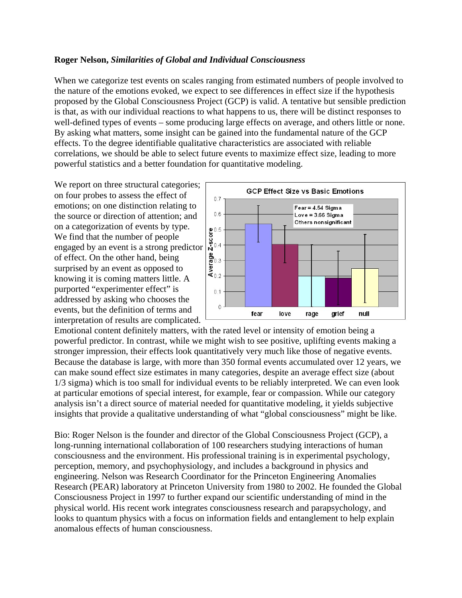#### **Roger Nelson,** *Similarities of Global and Individual Consciousness*

When we categorize test events on scales ranging from estimated numbers of people involved to the nature of the emotions evoked, we expect to see differences in effect size if the hypothesis proposed by the Global Consciousness Project (GCP) is valid. A tentative but sensible prediction is that, as with our individual reactions to what happens to us, there will be distinct responses to well-defined types of events – some producing large effects on average, and others little or none. By asking what matters, some insight can be gained into the fundamental nature of the GCP effects. To the degree identifiable qualitative characteristics are associated with reliable correlations, we should be able to select future events to maximize effect size, leading to more powerful statistics and a better foundation for quantitative modeling.

We report on three structural categories; on four probes to assess the effect of emotions; on one distinction relating to the source or direction of attention; and on a categorization of events by type. We find that the number of people engaged by an event is a strong predictor of effect. On the other hand, being surprised by an event as opposed to knowing it is coming matters little. A purported "experimenter effect" is addressed by asking who chooses the events, but the definition of terms and interpretation of results are complicated.



Emotional content definitely matters, with the rated level or intensity of emotion being a powerful predictor. In contrast, while we might wish to see positive, uplifting events making a stronger impression, their effects look quantitatively very much like those of negative events. Because the database is large, with more than 350 formal events accumulated over 12 years, we can make sound effect size estimates in many categories, despite an average effect size (about 1/3 sigma) which is too small for individual events to be reliably interpreted. We can even look at particular emotions of special interest, for example, fear or compassion. While our category analysis isn't a direct source of material needed for quantitative modeling, it yields subjective insights that provide a qualitative understanding of what "global consciousness" might be like.

Bio: Roger Nelson is the founder and director of the Global Consciousness Project (GCP), a long-running international collaboration of 100 researchers studying interactions of human consciousness and the environment. His professional training is in experimental psychology, perception, memory, and psychophysiology, and includes a background in physics and engineering. Nelson was Research Coordinator for the Princeton Engineering Anomalies Research (PEAR) laboratory at Princeton University from 1980 to 2002. He founded the Global Consciousness Project in 1997 to further expand our scientific understanding of mind in the physical world. His recent work integrates consciousness research and parapsychology, and looks to quantum physics with a focus on information fields and entanglement to help explain anomalous effects of human consciousness.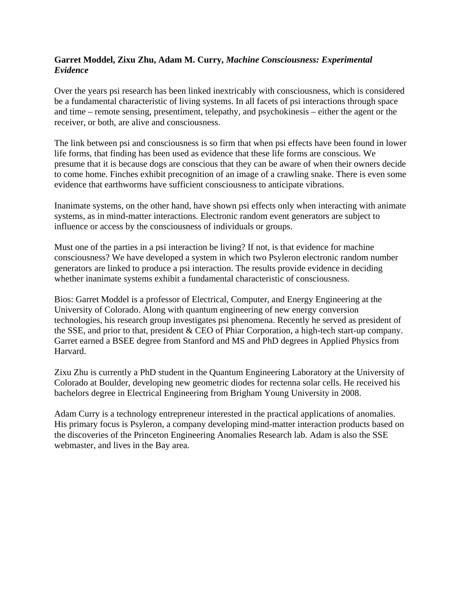#### **Garret Moddel, Zixu Zhu, Adam M. Curry,** *Machine Consciousness: Experimental Evidence*

Over the years psi research has been linked inextricably with consciousness, which is considered be a fundamental characteristic of living systems. In all facets of psi interactions through space and time – remote sensing, presentiment, telepathy, and psychokinesis – either the agent or the receiver, or both, are alive and consciousness.

The link between psi and consciousness is so firm that when psi effects have been found in lower life forms, that finding has been used as evidence that these life forms are conscious. We presume that it is because dogs are conscious that they can be aware of when their owners decide to come home. Finches exhibit precognition of an image of a crawling snake. There is even some evidence that earthworms have sufficient consciousness to anticipate vibrations.

Inanimate systems, on the other hand, have shown psi effects only when interacting with animate systems, as in mind-matter interactions. Electronic random event generators are subject to influence or access by the consciousness of individuals or groups.

Must one of the parties in a psi interaction be living? If not, is that evidence for machine consciousness? We have developed a system in which two Psyleron electronic random number generators are linked to produce a psi interaction. The results provide evidence in deciding whether inanimate systems exhibit a fundamental characteristic of consciousness.

Bios: Garret Moddel is a professor of Electrical, Computer, and Energy Engineering at the University of Colorado. Along with quantum engineering of new energy conversion technologies, his research group investigates psi phenomena. Recently he served as president of the SSE, and prior to that, president & CEO of Phiar Corporation, a high-tech start-up company. Garret earned a BSEE degree from Stanford and MS and PhD degrees in Applied Physics from Harvard.

Zixu Zhu is currently a PhD student in the Quantum Engineering Laboratory at the University of Colorado at Boulder, developing new geometric diodes for rectenna solar cells. He received his bachelors degree in Electrical Engineering from Brigham Young University in 2008.

Adam Curry is a technology entrepreneur interested in the practical applications of anomalies. His primary focus is Psyleron, a company developing mind-matter interaction products based on the discoveries of the Princeton Engineering Anomalies Research lab. Adam is also the SSE webmaster, and lives in the Bay area.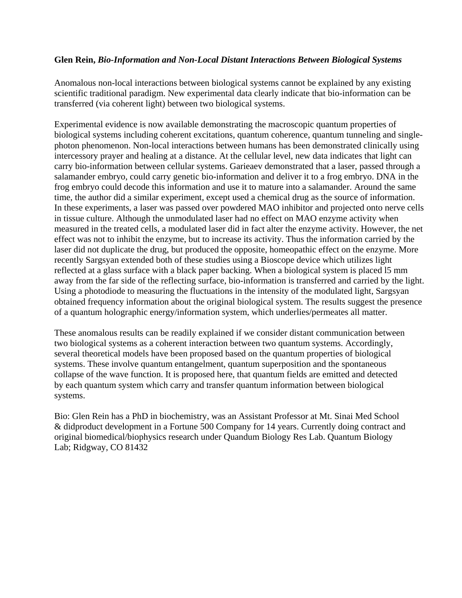#### **Glen Rein,** *Bio-Information and Non-Local Distant Interactions Between Biological Systems*

Anomalous non-local interactions between biological systems cannot be explained by any existing scientific traditional paradigm. New experimental data clearly indicate that bio-information can be transferred (via coherent light) between two biological systems.

Experimental evidence is now available demonstrating the macroscopic quantum properties of biological systems including coherent excitations, quantum coherence, quantum tunneling and singlephoton phenomenon. Non-local interactions between humans has been demonstrated clinically using intercessory prayer and healing at a distance. At the cellular level, new data indicates that light can carry bio-information between cellular systems. Garieaev demonstrated that a laser, passed through a salamander embryo, could carry genetic bio-information and deliver it to a frog embryo. DNA in the frog embryo could decode this information and use it to mature into a salamander. Around the same time, the author did a similar experiment, except used a chemical drug as the source of information. In these experiments, a laser was passed over powdered MAO inhibitor and projected onto nerve cells in tissue culture. Although the unmodulated laser had no effect on MAO enzyme activity when measured in the treated cells, a modulated laser did in fact alter the enzyme activity. However, the net effect was not to inhibit the enzyme, but to increase its activity. Thus the information carried by the laser did not duplicate the drug, but produced the opposite, homeopathic effect on the enzyme. More recently Sargsyan extended both of these studies using a Bioscope device which utilizes light reflected at a glass surface with a black paper backing. When a biological system is placed l5 mm away from the far side of the reflecting surface, bio-information is transferred and carried by the light. Using a photodiode to measuring the fluctuations in the intensity of the modulated light, Sargsyan obtained frequency information about the original biological system. The results suggest the presence of a quantum holographic energy/information system, which underlies/permeates all matter.

These anomalous results can be readily explained if we consider distant communication between two biological systems as a coherent interaction between two quantum systems. Accordingly, several theoretical models have been proposed based on the quantum properties of biological systems. These involve quantum entangelment, quantum superposition and the spontaneous collapse of the wave function. It is proposed here, that quantum fields are emitted and detected by each quantum system which carry and transfer quantum information between biological systems.

Bio: Glen Rein has a PhD in biochemistry, was an Assistant Professor at Mt. Sinai Med School & didproduct development in a Fortune 500 Company for 14 years. Currently doing contract and original biomedical/biophysics research under Quandum Biology Res Lab. Quantum Biology Lab; Ridgway, CO 81432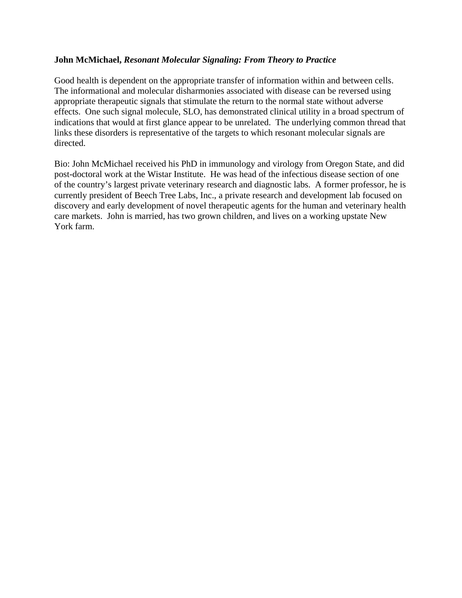#### **John McMichael,** *Resonant Molecular Signaling: From Theory to Practice*

Good health is dependent on the appropriate transfer of information within and between cells. The informational and molecular disharmonies associated with disease can be reversed using appropriate therapeutic signals that stimulate the return to the normal state without adverse effects. One such signal molecule, SLO, has demonstrated clinical utility in a broad spectrum of indications that would at first glance appear to be unrelated. The underlying common thread that links these disorders is representative of the targets to which resonant molecular signals are directed.

Bio: John McMichael received his PhD in immunology and virology from Oregon State, and did post-doctoral work at the Wistar Institute. He was head of the infectious disease section of one of the country's largest private veterinary research and diagnostic labs. A former professor, he is currently president of Beech Tree Labs, Inc., a private research and development lab focused on discovery and early development of novel therapeutic agents for the human and veterinary health care markets. John is married, has two grown children, and lives on a working upstate New York farm.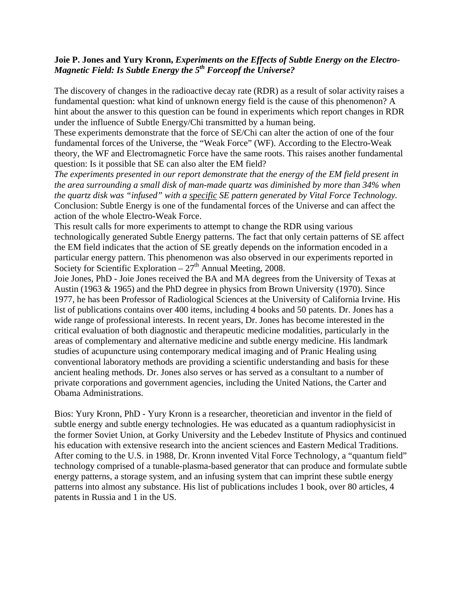#### **Joie P. Jones and Yury Kronn,** *Experiments on the Effects of Subtle Energy on the Electro-Magnetic Field: Is Subtle Energy the 5th Forceopf the Universe?*

The discovery of changes in the radioactive decay rate (RDR) as a result of solar activity raises a fundamental question: what kind of unknown energy field is the cause of this phenomenon? A hint about the answer to this question can be found in experiments which report changes in RDR under the influence of Subtle Energy/Chi transmitted by a human being.

These experiments demonstrate that the force of SE/Chi can alter the action of one of the four fundamental forces of the Universe, the "Weak Force" (WF). According to the Electro-Weak theory, the WF and Electromagnetic Force have the same roots. This raises another fundamental question: Is it possible that SE can also alter the EM field?

*The experiments presented in our report demonstrate that the energy of the EM field present in the area surrounding a small disk of man-made quartz was diminished by more than 34% when the quartz disk was "infused" with a specific SE pattern generated by Vital Force Technology.*  Conclusion: Subtle Energy is one of the fundamental forces of the Universe and can affect the action of the whole Electro-Weak Force.

This result calls for more experiments to attempt to change the RDR using various technologically generated Subtle Energy patterns. The fact that only certain patterns of SE affect the EM field indicates that the action of SE greatly depends on the information encoded in a particular energy pattern. This phenomenon was also observed in our experiments reported in Society for Scientific Exploration –  $27<sup>th</sup>$  Annual Meeting, 2008.

Joie Jones, PhD - Joie Jones received the BA and MA degrees from the University of Texas at Austin (1963 & 1965) and the PhD degree in physics from Brown University (1970). Since 1977, he has been Professor of Radiological Sciences at the University of California Irvine. His list of publications contains over 400 items, including 4 books and 50 patents. Dr. Jones has a wide range of professional interests. In recent years, Dr. Jones has become interested in the critical evaluation of both diagnostic and therapeutic medicine modalities, particularly in the areas of complementary and alternative medicine and subtle energy medicine. His landmark studies of acupuncture using contemporary medical imaging and of Pranic Healing using conventional laboratory methods are providing a scientific understanding and basis for these ancient healing methods. Dr. Jones also serves or has served as a consultant to a number of private corporations and government agencies, including the United Nations, the Carter and Obama Administrations.

Bios: Yury Kronn, PhD - Yury Kronn is a researcher, theoretician and inventor in the field of subtle energy and subtle energy technologies. He was educated as a quantum radiophysicist in the former Soviet Union, at Gorky University and the Lebedev Institute of Physics and continued his education with extensive research into the ancient sciences and Eastern Medical Traditions. After coming to the U.S. in 1988, Dr. Kronn invented Vital Force Technology, a "quantum field" technology comprised of a tunable-plasma-based generator that can produce and formulate subtle energy patterns, a storage system, and an infusing system that can imprint these subtle energy patterns into almost any substance. His list of publications includes 1 book, over 80 articles, 4 patents in Russia and 1 in the US.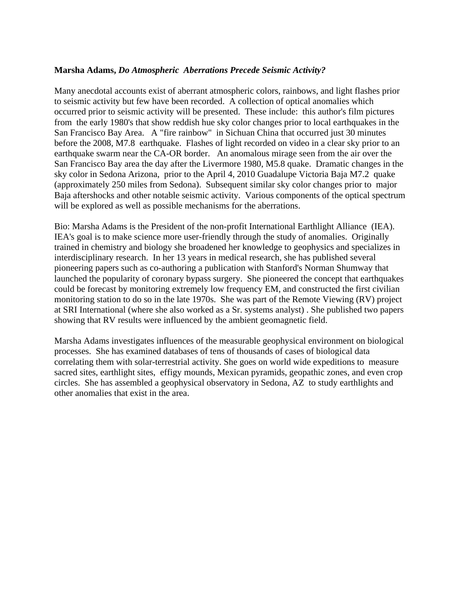#### **Marsha Adams,** *Do Atmospheric Aberrations Precede Seismic Activity?*

Many anecdotal accounts exist of aberrant atmospheric colors, rainbows, and light flashes prior to seismic activity but few have been recorded. A collection of optical anomalies which occurred prior to seismic activity will be presented. These include: this author's film pictures from the early 1980's that show reddish hue sky color changes prior to local earthquakes in the San Francisco Bay Area. A "fire rainbow" in Sichuan China that occurred just 30 minutes before the 2008, M7.8 earthquake. Flashes of light recorded on video in a clear sky prior to an earthquake swarm near the CA-OR border. An anomalous mirage seen from the air over the San Francisco Bay area the day after the Livermore 1980, M5.8 quake. Dramatic changes in the sky color in Sedona Arizona, prior to the April 4, 2010 Guadalupe Victoria Baja M7.2 quake (approximately 250 miles from Sedona). Subsequent similar sky color changes prior to major Baja aftershocks and other notable seismic activity. Various components of the optical spectrum will be explored as well as possible mechanisms for the aberrations.

Bio: Marsha Adams is the President of the non-profit International Earthlight Alliance (IEA). IEA's goal is to make science more user-friendly through the study of anomalies. Originally trained in chemistry and biology she broadened her knowledge to geophysics and specializes in interdisciplinary research. In her 13 years in medical research, she has published several pioneering papers such as co-authoring a publication with Stanford's Norman Shumway that launched the popularity of coronary bypass surgery. She pioneered the concept that earthquakes could be forecast by monitoring extremely low frequency EM, and constructed the first civilian monitoring station to do so in the late 1970s. She was part of the Remote Viewing (RV) project at SRI International (where she also worked as a Sr. systems analyst) . She published two papers showing that RV results were influenced by the ambient geomagnetic field.

Marsha Adams investigates influences of the measurable geophysical environment on biological processes. She has examined databases of tens of thousands of cases of biological data correlating them with solar-terrestrial activity. She goes on world wide expeditions to measure sacred sites, earthlight sites, effigy mounds, Mexican pyramids, geopathic zones, and even crop circles. She has assembled a geophysical observatory in Sedona, AZ to study earthlights and other anomalies that exist in the area.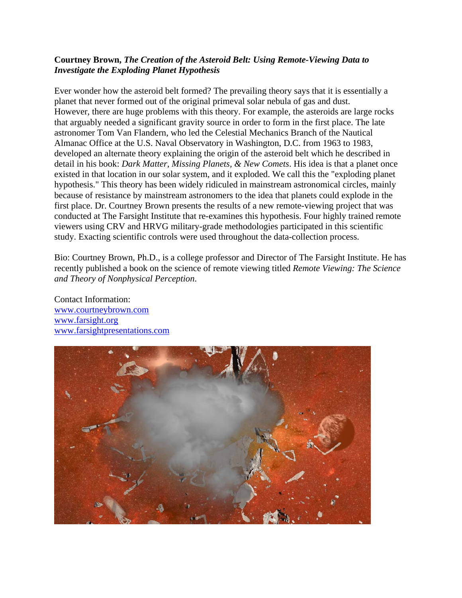#### **Courtney Brown,** *The Creation of the Asteroid Belt: Using Remote-Viewing Data to Investigate the Exploding Planet Hypothesis*

Ever wonder how the asteroid belt formed? The prevailing theory says that it is essentially a planet that never formed out of the original primeval solar nebula of gas and dust. However, there are huge problems with this theory. For example, the asteroids are large rocks that arguably needed a significant gravity source in order to form in the first place. The late astronomer Tom Van Flandern, who led the Celestial Mechanics Branch of the Nautical Almanac Office at the U.S. Naval Observatory in Washington, D.C. from 1963 to 1983, developed an alternate theory explaining the origin of the asteroid belt which he described in detail in his book: *Dark Matter, Missing Planets, & New Comets*. His idea is that a planet once existed in that location in our solar system, and it exploded. We call this the "exploding planet hypothesis." This theory has been widely ridiculed in mainstream astronomical circles, mainly because of resistance by mainstream astronomers to the idea that planets could explode in the first place. Dr. Courtney Brown presents the results of a new remote-viewing project that was conducted at The Farsight Institute that re-examines this hypothesis. Four highly trained remote viewers using CRV and HRVG military-grade methodologies participated in this scientific study. Exacting scientific controls were used throughout the data-collection process.

Bio: Courtney Brown, Ph.D., is a college professor and Director of The Farsight Institute. He has recently published a book on the science of remote viewing titled *Remote Viewing: The Science and Theory of Nonphysical Perception*.

Contact Information: www.courtneybrown.com www.farsight.org www.farsightpresentations.com

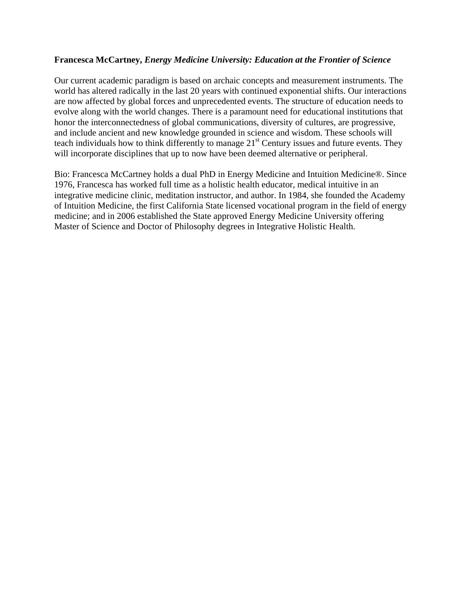#### **Francesca McCartney,** *Energy Medicine University: Education at the Frontier of Science*

Our current academic paradigm is based on archaic concepts and measurement instruments. The world has altered radically in the last 20 years with continued exponential shifts. Our interactions are now affected by global forces and unprecedented events. The structure of education needs to evolve along with the world changes. There is a paramount need for educational institutions that honor the interconnectedness of global communications, diversity of cultures, are progressive, and include ancient and new knowledge grounded in science and wisdom. These schools will teach individuals how to think differently to manage  $21<sup>st</sup>$  Century issues and future events. They will incorporate disciplines that up to now have been deemed alternative or peripheral.

Bio: Francesca McCartney holds a dual PhD in Energy Medicine and Intuition Medicine®. Since 1976, Francesca has worked full time as a holistic health educator, medical intuitive in an integrative medicine clinic, meditation instructor, and author. In 1984, she founded the Academy of Intuition Medicine, the first California State licensed vocational program in the field of energy medicine; and in 2006 established the State approved Energy Medicine University offering Master of Science and Doctor of Philosophy degrees in Integrative Holistic Health.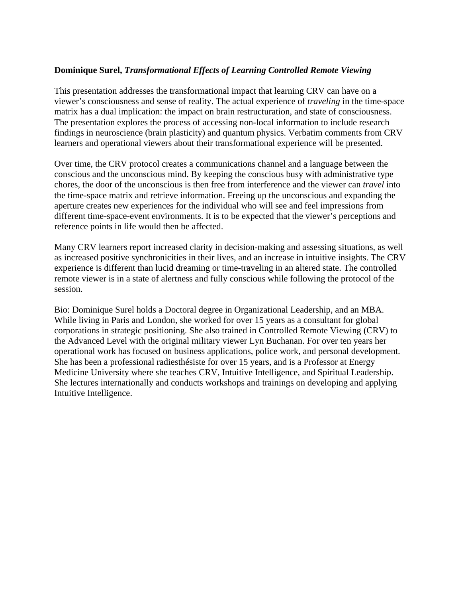#### **Dominique Surel,** *Transformational Effects of Learning Controlled Remote Viewing*

This presentation addresses the transformational impact that learning CRV can have on a viewer's consciousness and sense of reality. The actual experience of *traveling* in the time-space matrix has a dual implication: the impact on brain restructuration, and state of consciousness. The presentation explores the process of accessing non-local information to include research findings in neuroscience (brain plasticity) and quantum physics. Verbatim comments from CRV learners and operational viewers about their transformational experience will be presented.

Over time, the CRV protocol creates a communications channel and a language between the conscious and the unconscious mind. By keeping the conscious busy with administrative type chores, the door of the unconscious is then free from interference and the viewer can *travel* into the time-space matrix and retrieve information. Freeing up the unconscious and expanding the aperture creates new experiences for the individual who will see and feel impressions from different time-space-event environments. It is to be expected that the viewer's perceptions and reference points in life would then be affected.

Many CRV learners report increased clarity in decision-making and assessing situations, as well as increased positive synchronicities in their lives, and an increase in intuitive insights. The CRV experience is different than lucid dreaming or time-traveling in an altered state. The controlled remote viewer is in a state of alertness and fully conscious while following the protocol of the session.

Bio: Dominique Surel holds a Doctoral degree in Organizational Leadership, and an MBA. While living in Paris and London, she worked for over 15 years as a consultant for global corporations in strategic positioning. She also trained in Controlled Remote Viewing (CRV) to the Advanced Level with the original military viewer Lyn Buchanan. For over ten years her operational work has focused on business applications, police work, and personal development. She has been a professional radiesthésiste for over 15 years, and is a Professor at Energy Medicine University where she teaches CRV, Intuitive Intelligence, and Spiritual Leadership. She lectures internationally and conducts workshops and trainings on developing and applying Intuitive Intelligence.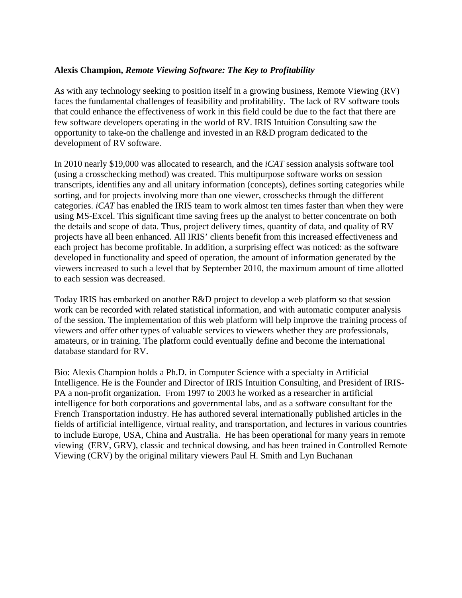#### **Alexis Champion,** *Remote Viewing Software: The Key to Profitability*

As with any technology seeking to position itself in a growing business, Remote Viewing (RV) faces the fundamental challenges of feasibility and profitability. The lack of RV software tools that could enhance the effectiveness of work in this field could be due to the fact that there are few software developers operating in the world of RV. IRIS Intuition Consulting saw the opportunity to take-on the challenge and invested in an R&D program dedicated to the development of RV software.

In 2010 nearly \$19,000 was allocated to research, and the *iCAT* session analysis software tool (using a crosschecking method) was created. This multipurpose software works on session transcripts, identifies any and all unitary information (concepts), defines sorting categories while sorting, and for projects involving more than one viewer, crosschecks through the different categories. *iCAT* has enabled the IRIS team to work almost ten times faster than when they were using MS-Excel. This significant time saving frees up the analyst to better concentrate on both the details and scope of data. Thus, project delivery times, quantity of data, and quality of RV projects have all been enhanced. All IRIS' clients benefit from this increased effectiveness and each project has become profitable. In addition, a surprising effect was noticed: as the software developed in functionality and speed of operation, the amount of information generated by the viewers increased to such a level that by September 2010, the maximum amount of time allotted to each session was decreased.

Today IRIS has embarked on another R&D project to develop a web platform so that session work can be recorded with related statistical information, and with automatic computer analysis of the session. The implementation of this web platform will help improve the training process of viewers and offer other types of valuable services to viewers whether they are professionals, amateurs, or in training. The platform could eventually define and become the international database standard for RV.

Bio: Alexis Champion holds a Ph.D. in Computer Science with a specialty in Artificial Intelligence. He is the Founder and Director of IRIS Intuition Consulting, and President of IRIS-PA a non-profit organization. From 1997 to 2003 he worked as a researcher in artificial intelligence for both corporations and governmental labs, and as a software consultant for the French Transportation industry. He has authored several internationally published articles in the fields of artificial intelligence, virtual reality, and transportation, and lectures in various countries to include Europe, USA, China and Australia. He has been operational for many years in remote viewing (ERV, GRV), classic and technical dowsing, and has been trained in Controlled Remote Viewing (CRV) by the original military viewers Paul H. Smith and Lyn Buchanan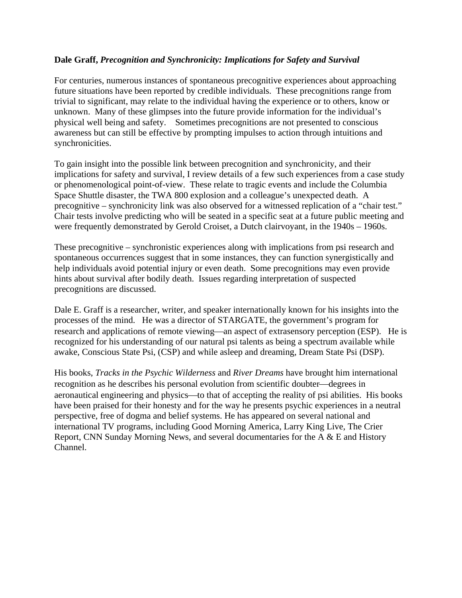#### **Dale Graff,** *Precognition and Synchronicity: Implications for Safety and Survival*

For centuries, numerous instances of spontaneous precognitive experiences about approaching future situations have been reported by credible individuals. These precognitions range from trivial to significant, may relate to the individual having the experience or to others, know or unknown. Many of these glimpses into the future provide information for the individual's physical well being and safety. Sometimes precognitions are not presented to conscious awareness but can still be effective by prompting impulses to action through intuitions and synchronicities.

To gain insight into the possible link between precognition and synchronicity, and their implications for safety and survival, I review details of a few such experiences from a case study or phenomenological point-of-view. These relate to tragic events and include the Columbia Space Shuttle disaster, the TWA 800 explosion and a colleague's unexpected death. A precognitive – synchronicity link was also observed for a witnessed replication of a "chair test." Chair tests involve predicting who will be seated in a specific seat at a future public meeting and were frequently demonstrated by Gerold Croiset, a Dutch clairvoyant, in the 1940s – 1960s.

These precognitive – synchronistic experiences along with implications from psi research and spontaneous occurrences suggest that in some instances, they can function synergistically and help individuals avoid potential injury or even death. Some precognitions may even provide hints about survival after bodily death. Issues regarding interpretation of suspected precognitions are discussed.

Dale E. Graff is a researcher, writer, and speaker internationally known for his insights into the processes of the mind. He was a director of STARGATE, the government's program for research and applications of remote viewing—an aspect of extrasensory perception (ESP). He is recognized for his understanding of our natural psi talents as being a spectrum available while awake, Conscious State Psi, (CSP) and while asleep and dreaming, Dream State Psi (DSP).

His books, *Tracks in the Psychic Wilderness* and *River Dreams* have brought him international recognition as he describes his personal evolution from scientific doubter—degrees in aeronautical engineering and physics—to that of accepting the reality of psi abilities. His books have been praised for their honesty and for the way he presents psychic experiences in a neutral perspective, free of dogma and belief systems. He has appeared on several national and international TV programs, including Good Morning America, Larry King Live, The Crier Report, CNN Sunday Morning News, and several documentaries for the A & E and History Channel.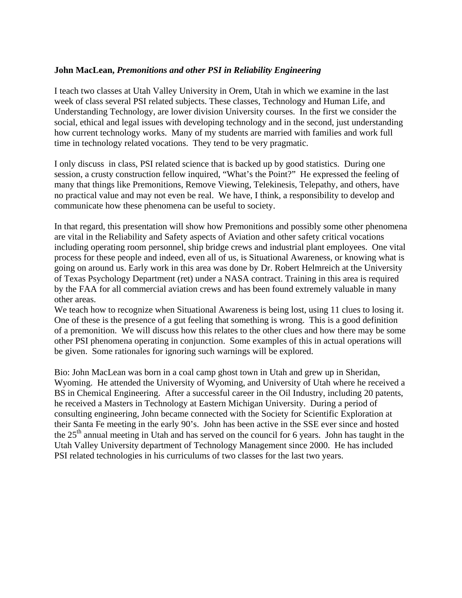#### **John MacLean,** *Premonitions and other PSI in Reliability Engineering*

I teach two classes at Utah Valley University in Orem, Utah in which we examine in the last week of class several PSI related subjects. These classes, Technology and Human Life, and Understanding Technology, are lower division University courses. In the first we consider the social, ethical and legal issues with developing technology and in the second, just understanding how current technology works. Many of my students are married with families and work full time in technology related vocations. They tend to be very pragmatic.

I only discuss in class, PSI related science that is backed up by good statistics. During one session, a crusty construction fellow inquired, "What's the Point?" He expressed the feeling of many that things like Premonitions, Remove Viewing, Telekinesis, Telepathy, and others, have no practical value and may not even be real. We have, I think, a responsibility to develop and communicate how these phenomena can be useful to society.

In that regard, this presentation will show how Premonitions and possibly some other phenomena are vital in the Reliability and Safety aspects of Aviation and other safety critical vocations including operating room personnel, ship bridge crews and industrial plant employees. One vital process for these people and indeed, even all of us, is Situational Awareness, or knowing what is going on around us. Early work in this area was done by Dr. Robert Helmreich at the University of Texas Psychology Department (ret) under a NASA contract. Training in this area is required by the FAA for all commercial aviation crews and has been found extremely valuable in many other areas.

We teach how to recognize when Situational Awareness is being lost, using 11 clues to losing it. One of these is the presence of a gut feeling that something is wrong. This is a good definition of a premonition. We will discuss how this relates to the other clues and how there may be some other PSI phenomena operating in conjunction. Some examples of this in actual operations will be given. Some rationales for ignoring such warnings will be explored.

Bio: John MacLean was born in a coal camp ghost town in Utah and grew up in Sheridan, Wyoming. He attended the University of Wyoming, and University of Utah where he received a BS in Chemical Engineering. After a successful career in the Oil Industry, including 20 patents, he received a Masters in Technology at Eastern Michigan University. During a period of consulting engineering, John became connected with the Society for Scientific Exploration at their Santa Fe meeting in the early 90's. John has been active in the SSE ever since and hosted the  $25<sup>th</sup>$  annual meeting in Utah and has served on the council for 6 years. John has taught in the Utah Valley University department of Technology Management since 2000. He has included PSI related technologies in his curriculums of two classes for the last two years.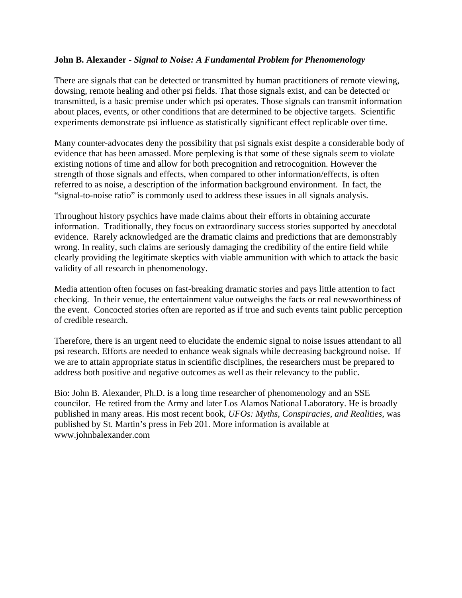#### **John B. Alexander** *- Signal to Noise: A Fundamental Problem for Phenomenology*

There are signals that can be detected or transmitted by human practitioners of remote viewing, dowsing, remote healing and other psi fields. That those signals exist, and can be detected or transmitted, is a basic premise under which psi operates. Those signals can transmit information about places, events, or other conditions that are determined to be objective targets. Scientific experiments demonstrate psi influence as statistically significant effect replicable over time.

Many counter-advocates deny the possibility that psi signals exist despite a considerable body of evidence that has been amassed. More perplexing is that some of these signals seem to violate existing notions of time and allow for both precognition and retrocognition. However the strength of those signals and effects, when compared to other information/effects, is often referred to as noise, a description of the information background environment. In fact, the "signal-to-noise ratio" is commonly used to address these issues in all signals analysis.

Throughout history psychics have made claims about their efforts in obtaining accurate information. Traditionally, they focus on extraordinary success stories supported by anecdotal evidence. Rarely acknowledged are the dramatic claims and predictions that are demonstrably wrong. In reality, such claims are seriously damaging the credibility of the entire field while clearly providing the legitimate skeptics with viable ammunition with which to attack the basic validity of all research in phenomenology.

Media attention often focuses on fast-breaking dramatic stories and pays little attention to fact checking. In their venue, the entertainment value outweighs the facts or real newsworthiness of the event. Concocted stories often are reported as if true and such events taint public perception of credible research.

Therefore, there is an urgent need to elucidate the endemic signal to noise issues attendant to all psi research. Efforts are needed to enhance weak signals while decreasing background noise. If we are to attain appropriate status in scientific disciplines, the researchers must be prepared to address both positive and negative outcomes as well as their relevancy to the public.

Bio: John B. Alexander, Ph.D. is a long time researcher of phenomenology and an SSE councilor. He retired from the Army and later Los Alamos National Laboratory. He is broadly published in many areas. His most recent book, *UFOs: Myths, Conspiracies, and Realities*, was published by St. Martin's press in Feb 201. More information is available at www.johnbalexander.com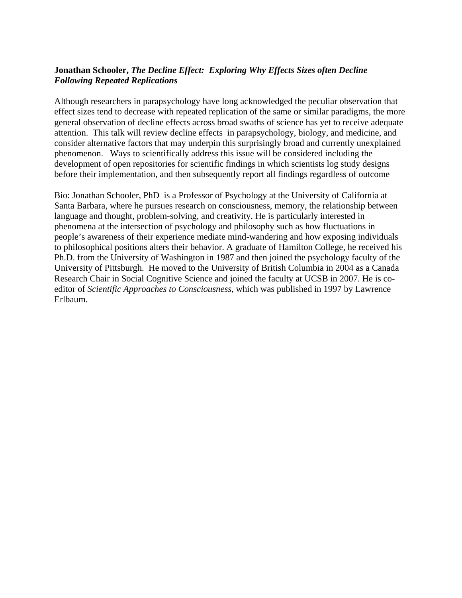#### **Jonathan Schooler,** *The Decline Effect: Exploring Why Effects Sizes often Decline Following Repeated Replications*

Although researchers in parapsychology have long acknowledged the peculiar observation that effect sizes tend to decrease with repeated replication of the same or similar paradigms, the more general observation of decline effects across broad swaths of science has yet to receive adequate attention. This talk will review decline effects in parapsychology, biology, and medicine, and consider alternative factors that may underpin this surprisingly broad and currently unexplained phenomenon. Ways to scientifically address this issue will be considered including the development of open repositories for scientific findings in which scientists log study designs before their implementation, and then subsequently report all findings regardless of outcome

Bio: Jonathan Schooler, PhD is a Professor of Psychology at the University of California at Santa Barbara, where he pursues research on consciousness, memory, the relationship between language and thought, problem-solving, and creativity. He is particularly interested in phenomena at the intersection of psychology and philosophy such as how fluctuations in people's awareness of their experience mediate mind-wandering and how exposing individuals to philosophical positions alters their behavior. A graduate of Hamilton College, he received his Ph.D. from the University of Washington in 1987 and then joined the psychology faculty of the University of Pittsburgh. He moved to the University of British Columbia in 2004 as a Canada Research Chair in Social Cognitive Science and joined the faculty at UCSB in 2007. He is coeditor of *Scientific Approaches to Consciousness*, which was published in 1997 by Lawrence Erlbaum.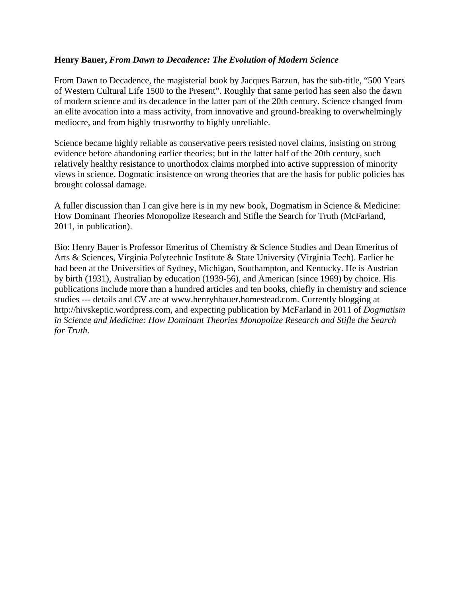#### **Henry Bauer,** *From Dawn to Decadence: The Evolution of Modern Science*

From Dawn to Decadence, the magisterial book by Jacques Barzun, has the sub-title, "500 Years of Western Cultural Life 1500 to the Present". Roughly that same period has seen also the dawn of modern science and its decadence in the latter part of the 20th century. Science changed from an elite avocation into a mass activity, from innovative and ground-breaking to overwhelmingly mediocre, and from highly trustworthy to highly unreliable.

Science became highly reliable as conservative peers resisted novel claims, insisting on strong evidence before abandoning earlier theories; but in the latter half of the 20th century, such relatively healthy resistance to unorthodox claims morphed into active suppression of minority views in science. Dogmatic insistence on wrong theories that are the basis for public policies has brought colossal damage.

A fuller discussion than I can give here is in my new book, Dogmatism in Science & Medicine: How Dominant Theories Monopolize Research and Stifle the Search for Truth (McFarland, 2011, in publication).

Bio: Henry Bauer is Professor Emeritus of Chemistry & Science Studies and Dean Emeritus of Arts & Sciences, Virginia Polytechnic Institute & State University (Virginia Tech). Earlier he had been at the Universities of Sydney, Michigan, Southampton, and Kentucky. He is Austrian by birth (1931), Australian by education (1939-56), and American (since 1969) by choice. His publications include more than a hundred articles and ten books, chiefly in chemistry and science studies --- details and CV are at www.henryhbauer.homestead.com. Currently blogging at http://hivskeptic.wordpress.com, and expecting publication by McFarland in 2011 of *Dogmatism in Science and Medicine: How Dominant Theories Monopolize Research and Stifle the Search for Truth*.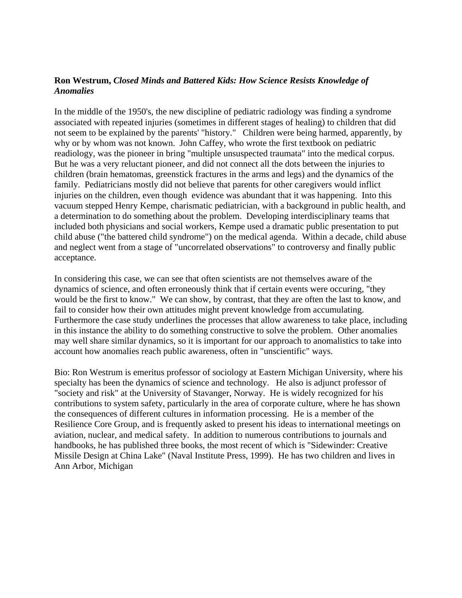#### **Ron Westrum,** *Closed Minds and Battered Kids: How Science Resists Knowledge of Anomalies*

In the middle of the 1950's, the new discipline of pediatric radiology was finding a syndrome associated with repeated injuries (sometimes in different stages of healing) to children that did not seem to be explained by the parents' "history." Children were being harmed, apparently, by why or by whom was not known. John Caffey, who wrote the first textbook on pediatric readiology, was the pioneer in bring "multiple unsuspected traumata" into the medical corpus. But he was a very reluctant pioneer, and did not connect all the dots between the injuries to children (brain hematomas, greenstick fractures in the arms and legs) and the dynamics of the family. Pediatricians mostly did not believe that parents for other caregivers would inflict injuries on the children, even though evidence was abundant that it was happening. Into this vacuum stepped Henry Kempe, charismatic pediatrician, with a background in public health, and a determination to do something about the problem. Developing interdisciplinary teams that included both physicians and social workers, Kempe used a dramatic public presentation to put child abuse ("the battered child syndrome") on the medical agenda. Within a decade, child abuse and neglect went from a stage of "uncorrelated observations" to controversy and finally public acceptance.

In considering this case, we can see that often scientists are not themselves aware of the dynamics of science, and often erroneously think that if certain events were occuring, "they would be the first to know." We can show, by contrast, that they are often the last to know, and fail to consider how their own attitudes might prevent knowledge from accumulating. Furthermore the case study underlines the processes that allow awareness to take place, including in this instance the ability to do something constructive to solve the problem. Other anomalies may well share similar dynamics, so it is important for our approach to anomalistics to take into account how anomalies reach public awareness, often in "unscientific" ways.

Bio: Ron Westrum is emeritus professor of sociology at Eastern Michigan University, where his specialty has been the dynamics of science and technology. He also is adjunct professor of "society and risk" at the University of Stavanger, Norway. He is widely recognized for his contributions to system safety, particularly in the area of corporate culture, where he has shown the consequences of different cultures in information processing. He is a member of the Resilience Core Group, and is frequently asked to present his ideas to international meetings on aviation, nuclear, and medical safety. In addition to numerous contributions to journals and handbooks, he has published three books, the most recent of which is "Sidewinder: Creative Missile Design at China Lake" (Naval Institute Press, 1999). He has two children and lives in Ann Arbor, Michigan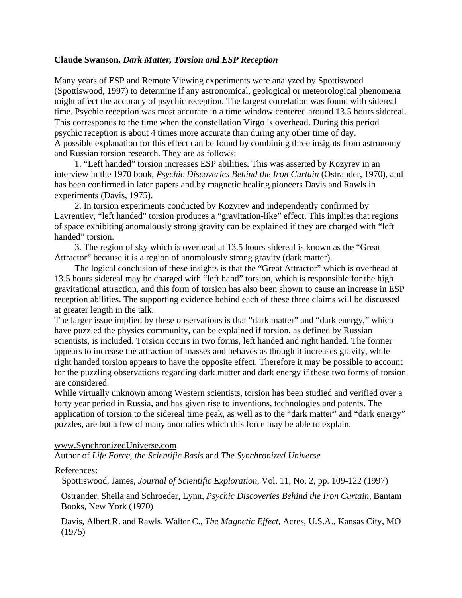#### **Claude Swanson,** *Dark Matter, Torsion and ESP Reception*

Many years of ESP and Remote Viewing experiments were analyzed by Spottiswood (Spottiswood, 1997) to determine if any astronomical, geological or meteorological phenomena might affect the accuracy of psychic reception. The largest correlation was found with sidereal time. Psychic reception was most accurate in a time window centered around 13.5 hours sidereal. This corresponds to the time when the constellation Virgo is overhead. During this period psychic reception is about 4 times more accurate than during any other time of day. A possible explanation for this effect can be found by combining three insights from astronomy and Russian torsion research. They are as follows:

1. "Left handed" torsion increases ESP abilities. This was asserted by Kozyrev in an interview in the 1970 book, *Psychic Discoveries Behind the Iron Curtain* (Ostrander, 1970), and has been confirmed in later papers and by magnetic healing pioneers Davis and Rawls in experiments (Davis, 1975).

2. In torsion experiments conducted by Kozyrev and independently confirmed by Lavrentiev, "left handed" torsion produces a "gravitation-like" effect. This implies that regions of space exhibiting anomalously strong gravity can be explained if they are charged with "left handed" torsion.

3. The region of sky which is overhead at 13.5 hours sidereal is known as the "Great Attractor" because it is a region of anomalously strong gravity (dark matter).

The logical conclusion of these insights is that the "Great Attractor" which is overhead at 13.5 hours sidereal may be charged with "left hand" torsion, which is responsible for the high gravitational attraction, and this form of torsion has also been shown to cause an increase in ESP reception abilities. The supporting evidence behind each of these three claims will be discussed at greater length in the talk.

The larger issue implied by these observations is that "dark matter" and "dark energy," which have puzzled the physics community, can be explained if torsion, as defined by Russian scientists, is included. Torsion occurs in two forms, left handed and right handed. The former appears to increase the attraction of masses and behaves as though it increases gravity, while right handed torsion appears to have the opposite effect. Therefore it may be possible to account for the puzzling observations regarding dark matter and dark energy if these two forms of torsion are considered.

While virtually unknown among Western scientists, torsion has been studied and verified over a forty year period in Russia, and has given rise to inventions, technologies and patents. The application of torsion to the sidereal time peak, as well as to the "dark matter" and "dark energy" puzzles, are but a few of many anomalies which this force may be able to explain.

#### www.SynchronizedUniverse.com

Author of *Life Force, the Scientific Basis* and *The Synchronized Universe*

#### References:

Spottiswood, James, *Journal of Scientific Exploration*, Vol. 11, No. 2, pp. 109-122 (1997)

Ostrander, Sheila and Schroeder, Lynn, *Psychic Discoveries Behind the Iron Curtain*, Bantam Books, New York (1970)

Davis, Albert R. and Rawls, Walter C., *The Magnetic Effect*, Acres, U.S.A., Kansas City, MO (1975)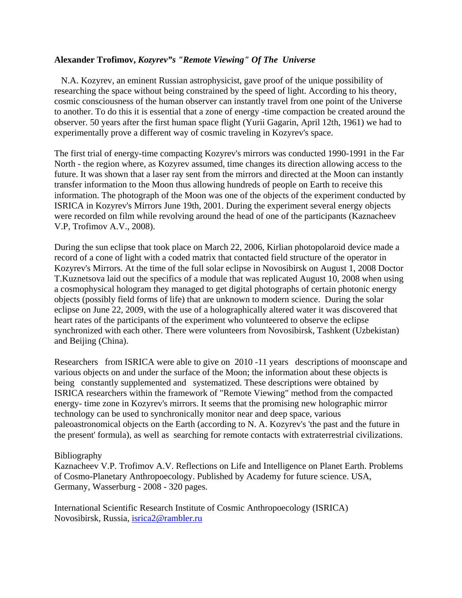#### **Alexander Trofimov,** *Kozyrev"s "Remote Viewing" Of The Universe*

 N.A. Kozyrev, an eminent Russian astrophysicist, gave proof of the unique possibility of researching the space without being constrained by the speed of light. According to his theory, cosmic consciousness of the human observer can instantly travel from one point of the Universe to another. To do this it is essential that a zone of energy -time compaction be created around the observer. 50 years after the first human space flight (Yurii Gagarin, April 12th, 1961) we had to experimentally prove a different way of cosmic traveling in Kozyrev's space.

The first trial of energy-time compacting Kozyrev's mirrors was conducted 1990-1991 in the Far North - the region where, as Kozyrev assumed, time changes its direction allowing access to the future. It was shown that a laser ray sent from the mirrors and directed at the Moon can instantly transfer information to the Moon thus allowing hundreds of people on Earth to receive this information. The photograph of the Moon was one of the objects of the experiment conducted by ISRICA in Kozyrev's Mirrors June 19th, 2001. During the experiment several energy objects were recorded on film while revolving around the head of one of the participants (Kaznacheev V.P, Trofimov A.V., 2008).

During the sun eclipse that took place on March 22, 2006, Kirlian photopolaroid device made a record of a cone of light with a coded matrix that contacted field structure of the operator in Kozyrev's Mirrors. At the time of the full solar eclipse in Novosibirsk on August 1, 2008 Doctor T.Kuznetsova laid out the specifics of a module that was replicated August 10, 2008 when using a cosmophysical hologram they managed to get digital photographs of certain photonic energy objects (possibly field forms of life) that are unknown to modern science. During the solar eclipse on June 22, 2009, with the use of a holographically altered water it was discovered that heart rates of the participants of the experiment who volunteered to observe the eclipse synchronized with each other. There were volunteers from Novosibirsk, Tashkent (Uzbekistan) and Beijing (China).

Researchers from ISRICA were able to give on 2010 -11 years descriptions of moonscape and various objects on and under the surface of the Moon; the information about these objects is being constantly supplemented and systematized. These descriptions were obtained by ISRICA researchers within the framework of "Remote Viewing" method from the compacted energy- time zone in Kozyrev's mirrors. It seems that the promising new holographic mirror technology can be used to synchronically monitor near and deep space, various paleoastronomical objects on the Earth (according to N. A. Kozyrev's 'the past and the future in the present' formula), as well as searching for remote contacts with extraterrestrial civilizations.

#### Bibliography

Kaznacheev V.P. Trofimov A.V. Reflections on Life and Intelligence on Planet Earth. Problems of Cosmo-Planetary Anthropoecology. Published by Academy for future science. USA, Germany, Wasserburg - 2008 - 320 pages.

International Scientific Research Institute of Cosmic Anthropoecology (ISRICA) Novosibirsk, Russia, isrica2@rambler.ru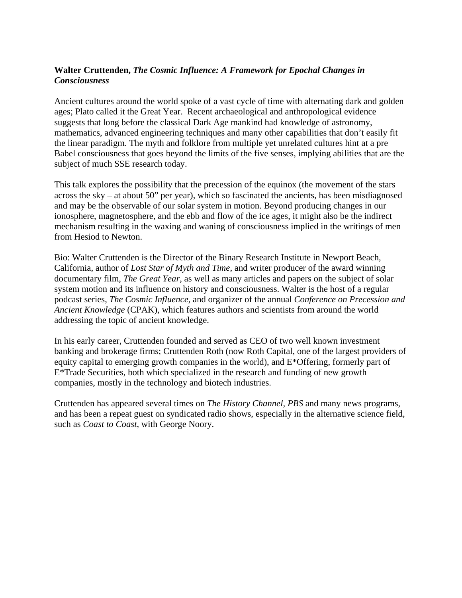#### **Walter Cruttenden,** *The Cosmic Influence: A Framework for Epochal Changes in Consciousness*

Ancient cultures around the world spoke of a vast cycle of time with alternating dark and golden ages; Plato called it the Great Year. Recent archaeological and anthropological evidence suggests that long before the classical Dark Age mankind had knowledge of astronomy, mathematics, advanced engineering techniques and many other capabilities that don't easily fit the linear paradigm. The myth and folklore from multiple yet unrelated cultures hint at a pre Babel consciousness that goes beyond the limits of the five senses, implying abilities that are the subject of much SSE research today.

This talk explores the possibility that the precession of the equinox (the movement of the stars across the sky – at about 50" per year), which so fascinated the ancients, has been misdiagnosed and may be the observable of our solar system in motion. Beyond producing changes in our ionosphere, magnetosphere, and the ebb and flow of the ice ages, it might also be the indirect mechanism resulting in the waxing and waning of consciousness implied in the writings of men from Hesiod to Newton.

Bio: Walter Cruttenden is the Director of the Binary Research Institute in Newport Beach, California, author of *Lost Star of Myth and Time*, and writer producer of the award winning documentary film, *The Great Year*, as well as many articles and papers on the subject of solar system motion and its influence on history and consciousness. Walter is the host of a regular podcast series, *The Cosmic Influence*, and organizer of the annual *Conference on Precession and Ancient Knowledge* (CPAK), which features authors and scientists from around the world addressing the topic of ancient knowledge.

In his early career, Cruttenden founded and served as CEO of two well known investment banking and brokerage firms; Cruttenden Roth (now Roth Capital, one of the largest providers of equity capital to emerging growth companies in the world), and E\*Offering, formerly part of E\*Trade Securities, both which specialized in the research and funding of new growth companies, mostly in the technology and biotech industries.

Cruttenden has appeared several times on *The History Channel, PBS* and many news programs, and has been a repeat guest on syndicated radio shows, especially in the alternative science field, such as *Coast to Coast*, with George Noory.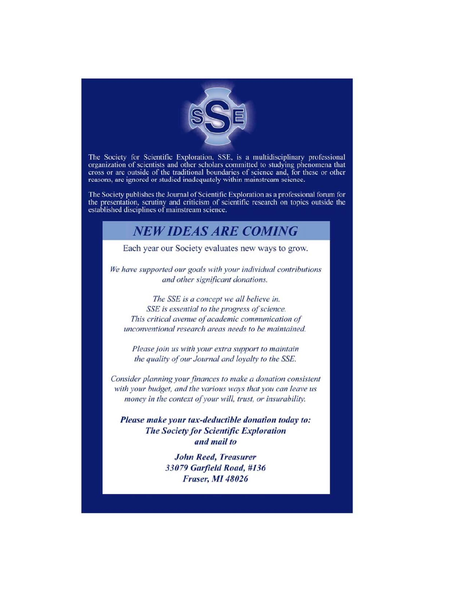

The Society for Scientific Exploration, SSE, is a multidisciplinary professional organization of scientists and other scholars committed to studying phenomena that cross or are outside of the traditional boundaries of science and, for these or other reasons, are ignored or studied inadequately within mainstream science.

The Society publishes the Journal of Scientific Exploration as a professional forum for the presentation, scrutiny and criticism of scientific research on topics outside the established disciplines of mainstream science.

#### **NEW IDEAS ARE COMING**

Each year our Society evaluates new ways to grow.

We have supported our goals with your individual contributions and other significant donations.

The SSE is a concept we all believe in. SSE is essential to the progress of science. This critical avenue of academic communication of unconventional research areas needs to be maintained.

Please join us with your extra support to maintain the quality of our Journal and loyalty to the SSE.

Consider planning your finances to make a donation consistent with your budget, and the various ways that you can leave us money in the context of your will, trust, or insurability.

Please make your tax-deductible donation today to: **The Society for Scientific Exploration** and mail to

> **John Reed, Treasurer** 33079 Garfield Road, #136 **Fraser, MI 48026**